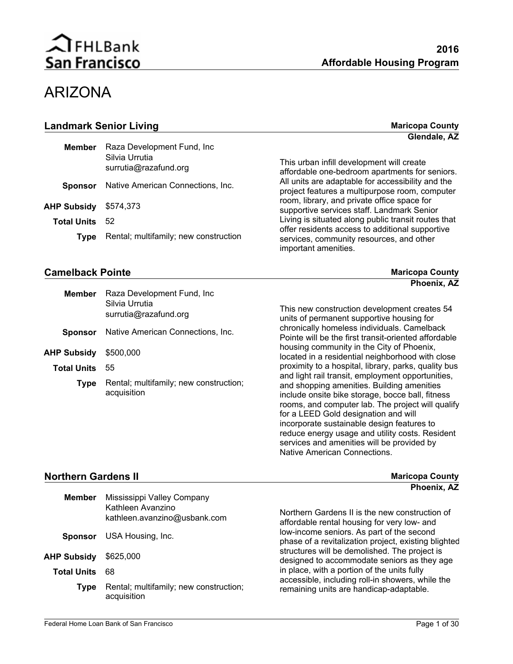## ARIZONA

| <b>Landmark Senior Living</b> |                                         | <b>Maricopa County</b>                                                                              |
|-------------------------------|-----------------------------------------|-----------------------------------------------------------------------------------------------------|
|                               |                                         | Glendale, AZ                                                                                        |
| Member                        | Raza Development Fund, Inc.             |                                                                                                     |
|                               | Silvia Urrutia<br>surrutia@razafund.org | This urban infill development will create<br>affordable one-bedroom apartments for seniors.         |
| <b>Sponsor</b>                | Native American Connections, Inc.       | All units are adaptable for accessibility and the<br>project features a multipurpose room, computer |
| <b>AHP Subsidy</b>            | \$574,373                               | room, library, and private office space for<br>supportive services staff. Landmark Senior           |
| <b>Total Units</b>            | 52                                      | Living is situated along public transit routes that                                                 |
| <b>Type</b>                   | Rental; multifamily; new construction   | offer residents access to additional supportive<br>services, community resources, and other         |

#### **Camelback Pointe Maricopa County Camelback Pointe Maricopa County**

services, community resources, and other important amenities.

Native American Connections.

| <b>Member</b>      | Raza Development Fund, Inc.<br>Silvia Urrutia<br>surrutia@razafund.org | This new construction development creates 54<br>units of permanent supportive housing for                                                                                                                                                                                                                                                                                                       |
|--------------------|------------------------------------------------------------------------|-------------------------------------------------------------------------------------------------------------------------------------------------------------------------------------------------------------------------------------------------------------------------------------------------------------------------------------------------------------------------------------------------|
| <b>Sponsor</b>     | Native American Connections, Inc.                                      | chronically homeless individuals. Camelback<br>Pointe will be the first transit-oriented affordable                                                                                                                                                                                                                                                                                             |
| <b>AHP Subsidy</b> | \$500,000                                                              | housing community in the City of Phoenix,<br>located in a residential neighborhood with close                                                                                                                                                                                                                                                                                                   |
| <b>Total Units</b> | 55                                                                     | proximity to a hospital, library, parks, quality bus                                                                                                                                                                                                                                                                                                                                            |
| <b>Type</b>        | Rental; multifamily; new construction;<br>acquisition                  | and light rail transit, employment opportunities,<br>and shopping amenities. Building amenities<br>include onsite bike storage, bocce ball, fitness<br>rooms, and computer lab. The project will qualify<br>for a LEED Gold designation and will<br>incorporate sustainable design features to<br>reduce energy usage and utility costs. Resident<br>services and amenities will be provided by |

#### **Northern Gardens II**

| <b>Northern Gardens II</b> |                                                                                 | <b>Maricopa County</b>                                                                                       |
|----------------------------|---------------------------------------------------------------------------------|--------------------------------------------------------------------------------------------------------------|
| <b>Member</b>              | Mississippi Valley Company<br>Kathleen Avanzino<br>kathleen.avanzino@usbank.com | Phoenix, AZ<br>Northern Gardens II is the new construction of<br>affordable rental housing for very low- and |
| <b>Sponsor</b>             | USA Housing, Inc.                                                               | low-income seniors. As part of the second<br>phase of a revitalization project, existing blighted            |
| AHP Subsidy                | \$625,000                                                                       | structures will be demolished. The project is<br>designed to accommodate seniors as they age                 |
| <b>Total Units</b>         | -68                                                                             | in place, with a portion of the units fully                                                                  |
| Type                       | Rental; multifamily; new construction;<br>acquisition                           | accessible, including roll-in showers, while the<br>remaining units are handicap-adaptable.                  |

**Phoenix, AZ**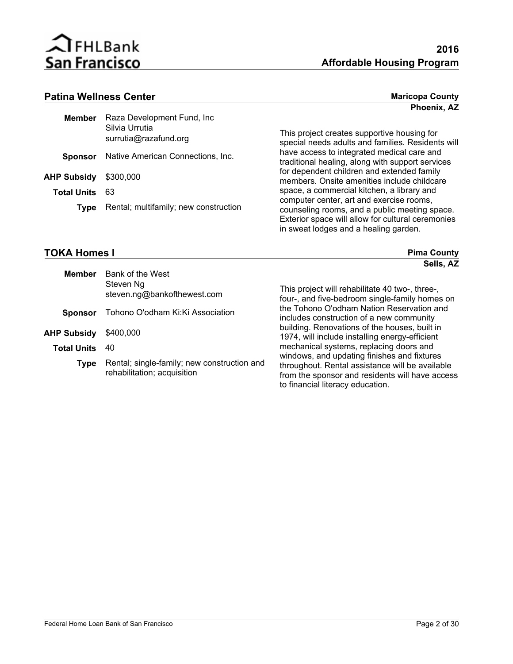

in sweat lodges and a healing garden.

## Patina Wellness Center **Maricopa County Maricopa County**

| <b>Maricopa County</b> |  |
|------------------------|--|
| Phoenix, AZ            |  |

| <b>Member</b>      | Raza Development Fund, Inc              |                                                                                                                                                |
|--------------------|-----------------------------------------|------------------------------------------------------------------------------------------------------------------------------------------------|
|                    | Silvia Urrutia<br>surrutia@razafund.org | This project creates supportive housing for<br>special needs adults and families. Residents will                                               |
| <b>Sponsor</b>     | Native American Connections, Inc.       | have access to integrated medical care and<br>traditional healing, along with support services                                                 |
| <b>AHP Subsidy</b> | \$300,000                               | for dependent children and extended family<br>members. Onsite amenities include childcare                                                      |
| <b>Total Units</b> | - 63                                    | space, a commercial kitchen, a library and                                                                                                     |
| <b>Type</b>        | Rental; multifamily; new construction   | computer center, art and exercise rooms,<br>counseling rooms, and a public meeting space.<br>Exterior space will allow for cultural ceremonies |

### **TOKA Homes I Pickets**

| <b>TOKA Homes I</b> |                                                                            | <b>Pima County</b>                                                                                                                                                                    |
|---------------------|----------------------------------------------------------------------------|---------------------------------------------------------------------------------------------------------------------------------------------------------------------------------------|
| <b>Member</b>       | Bank of the West<br>Steven Ng<br>steven.ng@bankofthewest.com               | Sells, AZ<br>This project will rehabilitate 40 two-, three-,<br>four-, and five-bedroom single-family homes on                                                                        |
| <b>Sponsor</b>      | Tohono O'odham Ki: Ki Association                                          | the Tohono O'odham Nation Reservation and<br>includes construction of a new community                                                                                                 |
| <b>AHP Subsidy</b>  | \$400,000                                                                  | building. Renovations of the houses, built in<br>1974, will include installing energy-efficient                                                                                       |
| <b>Total Units</b>  | 40                                                                         | mechanical systems, replacing doors and                                                                                                                                               |
| <b>Type</b>         | Rental; single-family; new construction and<br>rehabilitation; acquisition | windows, and updating finishes and fixtures<br>throughout. Rental assistance will be available<br>from the sponsor and residents will have access<br>to financial literacy education. |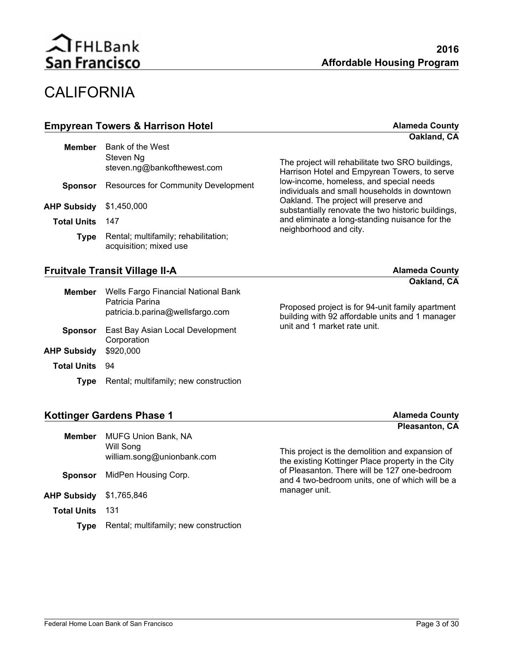

## **CALIFORNIA**

| <b>Empyrean Towers &amp; Harrison Hotel</b> |                                          | <b>Alameda County</b>                                                                            |
|---------------------------------------------|------------------------------------------|--------------------------------------------------------------------------------------------------|
|                                             |                                          | Oakland, CA                                                                                      |
| <b>Member</b>                               | Bank of the West                         |                                                                                                  |
|                                             | Steven Ng<br>steven.ng@bankofthewest.com | The project will rehabilitate two SRO buildings,<br>Harrison Hotel and Empyrean Towers, to serve |

| Sponsor                        | <b>Resources for Community Development</b>                     | low-income, homeless, and special needs<br>individuals and small households in downtown      |
|--------------------------------|----------------------------------------------------------------|----------------------------------------------------------------------------------------------|
| <b>AHP Subsidy</b> \$1,450,000 |                                                                | Oakland. The project will preserve and<br>substantially renovate the two historic buildings, |
| <b>Total Units</b>             | 147                                                            | and eliminate a long-standing nuisance for the<br>neighborhood and city.                     |
| Tvpe                           | Rental; multifamily; rehabilitation;<br>acquisition; mixed use |                                                                                              |

#### **Fruitvale Transit Village II-A Alameda County Alameda County**

## **Oakland, CA**

| <b>Member</b>      | Wells Fargo Financial National Bank<br>Patricia Parina<br>patricia.b.parina@wellsfargo.com | Proposed project is for 94-unit family apartment<br>building with 92 affordable units and 1 manager |
|--------------------|--------------------------------------------------------------------------------------------|-----------------------------------------------------------------------------------------------------|
| <b>Sponsor</b>     | East Bay Asian Local Development<br>Corporation                                            | unit and 1 market rate unit.                                                                        |
| <b>AHP Subsidy</b> | \$920,000                                                                                  |                                                                                                     |
| <b>Total Units</b> | -94                                                                                        |                                                                                                     |
| <b>Type</b>        | Rental; multifamily; new construction                                                      |                                                                                                     |

### **Kottinger Gardens Phase 1 Alameda County**

|                    |                                                                       | $\cdots$                                                                                             |
|--------------------|-----------------------------------------------------------------------|------------------------------------------------------------------------------------------------------|
| <b>Member</b>      | <b>MUFG Union Bank, NA</b><br>Will Song<br>william.song@unionbank.com | This project is the demolition and expansion of<br>the existing Kottinger Place property in the City |
| <b>Sponsor</b>     | MidPen Housing Corp.                                                  | of Pleasanton. There will be 127 one-bedroom<br>and 4 two-bedroom units, one of which will be a      |
| <b>AHP Subsidy</b> | \$1,765,846                                                           | manager unit.                                                                                        |
| <b>Total Units</b> | 131                                                                   |                                                                                                      |
| Tvpe               | Rental; multifamily; new construction                                 |                                                                                                      |

## **Pleasanton, CA**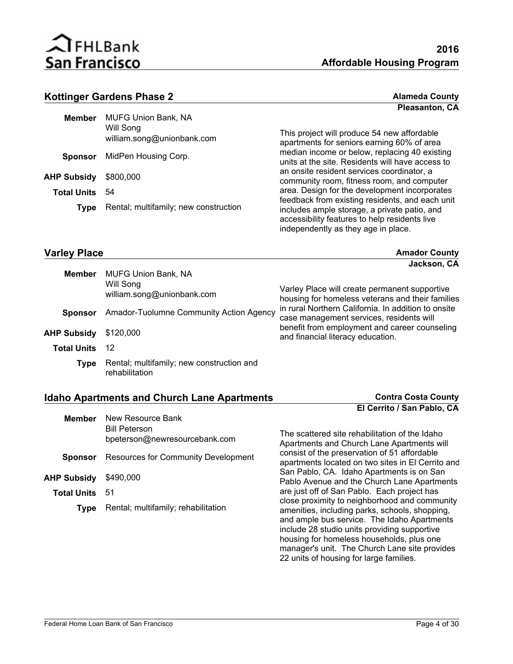

**Pleasanton, CA**

#### **Kottinger Gardens Phase 2 Alameda County Alameda County**

| Member                | <b>MUFG Union Bank, NA</b><br>Will Song<br>william.song@unionbank.com |
|-----------------------|-----------------------------------------------------------------------|
|                       | <b>Sponsor</b> MidPen Housing Corp.                                   |
| AHP Subsidy \$800,000 |                                                                       |
| <b>Total Units</b>    | -54                                                                   |
| <b>Type</b>           | Rental; multifamily; new construction                                 |
|                       |                                                                       |

This project will produce 54 new affordable apartments for seniors earning 60% of area median income or below, replacing 40 existing units at the site. Residents will have access to an onsite resident services coordinator, a community room, fitness room, and computer area. Design for the development incorporates feedback from existing residents, and each unit includes ample storage, a private patio, and accessibility features to help residents live independently as they age in place.

#### **Varley Place Amador County Amador County Amador County**

|                    |                                                                       | Jackson, CA                                                                                       |
|--------------------|-----------------------------------------------------------------------|---------------------------------------------------------------------------------------------------|
| <b>Member</b>      | <b>MUFG Union Bank, NA</b><br>Will Song<br>william.song@unionbank.com | Varley Place will create permanent supportive<br>housing for homeless veterans and their families |
| <b>Sponsor</b>     | Amador-Tuolumne Community Action Agency                               | in rural Northern California. In addition to onsite<br>case management services, residents will   |
| AHP Subsidy        | \$120,000                                                             | benefit from employment and career counseling<br>and financial literacy education.                |
| <b>Total Units</b> | 12                                                                    |                                                                                                   |
| Type               | Rental; multifamily; new construction and<br>rehabilitation           |                                                                                                   |

#### **Idaho Apartments and Church Lane Apartments Contra Costa County**

| Member                | New Resource Bank<br><b>Bill Peterson</b><br>bpeterson@newresourcebank.com |
|-----------------------|----------------------------------------------------------------------------|
|                       | <b>Sponsor</b> Resources for Community Development                         |
| AHP Subsidy \$490,000 |                                                                            |
| <b>Total Units</b> 51 |                                                                            |
| <b>Type</b>           | Rental; multifamily; rehabilitation                                        |

The scattered site rehabilitation of the Idaho Apartments and Church Lane Apartments will consist of the preservation of 51 affordable apartments located on two sites in El Cerrito and San Pablo, CA. Idaho Apartments is on San Pablo Avenue and the Church Lane Apartments are just off of San Pablo. Each project has close proximity to neighborhood and community amenities, including parks, schools, shopping, and ample bus service. The Idaho Apartments include 28 studio units providing supportive housing for homeless households, plus one manager's unit. The Church Lane site provides 22 units of housing for large families.

**El Cerrito / San Pablo, CA**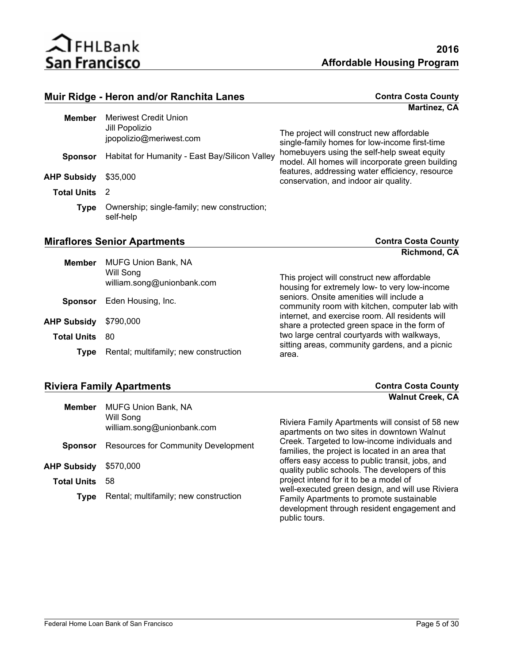

| Muir Ridge - Heron and/or Ranchita Lanes |                                                                    | <b>Contra Costa County</b>                                                                      |
|------------------------------------------|--------------------------------------------------------------------|-------------------------------------------------------------------------------------------------|
|                                          |                                                                    | <b>Martinez, CA</b>                                                                             |
| <b>Member</b>                            | Meriwest Credit Union<br>Jill Popolizio<br>jpopolizio@meriwest.com | The project will construct new affordable<br>single-family homes for low-income first-time      |
| <b>Sponsor</b>                           | Habitat for Humanity - East Bay/Silicon Valley                     | homebuyers using the self-help sweat equity<br>model. All homes will incorporate green building |
| <b>AHP Subsidy</b>                       | \$35,000                                                           | features, addressing water efficiency, resource<br>conservation, and indoor air quality.        |
| <b>Total Units</b>                       | $\overline{2}$                                                     |                                                                                                 |
| Type                                     | Ownership; single-family; new construction;<br>self-help           |                                                                                                 |

### **Miraflores Senior Apartments Contra Costa County**

**Richmond, CA**

| <b>Member</b>      | <b>MUFG Union Bank, NA</b>              |                                                                                                 |
|--------------------|-----------------------------------------|-------------------------------------------------------------------------------------------------|
|                    | Will Song<br>william.song@unionbank.com | This project will construct new affordable<br>housing for extremely low- to very low-income     |
| <b>Sponsor</b>     | Eden Housing, Inc.                      | seniors. Onsite amenities will include a<br>community room with kitchen, computer lab with      |
| <b>AHP Subsidy</b> | \$790,000                               | internet, and exercise room. All residents will<br>share a protected green space in the form of |
| Total Units        | 80                                      | two large central courtyards with walkways,                                                     |
| <b>Type</b>        | Rental; multifamily; new construction   | sitting areas, community gardens, and a picnic<br>area.                                         |

### **Riviera Family Apartments Contra Costa County**

|                    |                                            | <b>Walnut Creek, CA</b>                                                                           |
|--------------------|--------------------------------------------|---------------------------------------------------------------------------------------------------|
| <b>Member</b>      | <b>MUFG Union Bank, NA</b>                 |                                                                                                   |
|                    | Will Song                                  |                                                                                                   |
|                    | william.song@unionbank.com                 | Riviera Family Apartments will consist of 58 new<br>apartments on two sites in downtown Walnut    |
| <b>Sponsor</b>     | <b>Resources for Community Development</b> | Creek. Targeted to low-income individuals and<br>families, the project is located in an area that |
| <b>AHP Subsidy</b> | \$570,000                                  | offers easy access to public transit, jobs, and<br>quality public schools. The developers of this |
| <b>Total Units</b> | 58                                         | project intend for it to be a model of                                                            |
|                    |                                            | well-executed green design, and will use Riviera                                                  |
| <b>Type</b>        | Rental; multifamily; new construction      | Family Apartments to promote sustainable                                                          |
|                    |                                            | development through resident engagement and                                                       |
|                    |                                            | public tours.                                                                                     |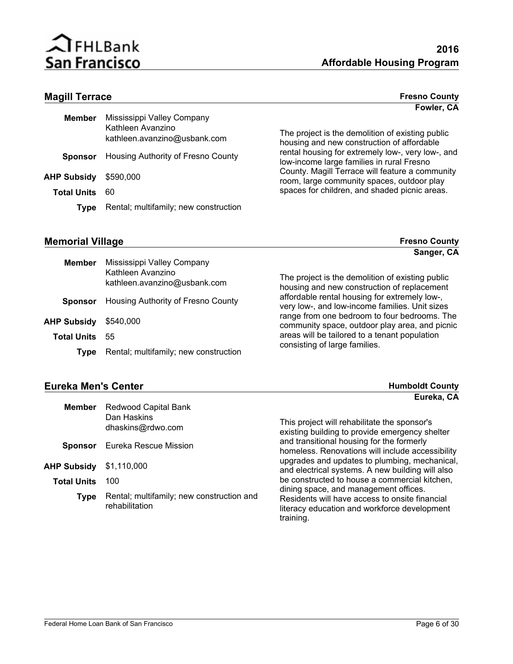

**Fowler, CA**

**Sanger, CA**

#### **Magill Terrace Fresno County**

| Member                | Mississippi Valley Company<br>Kathleen Avanzino<br>kathleen.avanzino@usbank.com |
|-----------------------|---------------------------------------------------------------------------------|
|                       | <b>Sponsor</b> Housing Authority of Fresno County                               |
| AHP Subsidy \$590,000 |                                                                                 |
| <b>Total Units</b>    | 60                                                                              |
| <b>Type</b>           | Rental; multifamily; new construction                                           |

The project is the demolition of existing public housing and new construction of affordable rental housing for extremely low-, very low-, and low-income large families in rural Fresno County. Magill Terrace will feature a community room, large community spaces, outdoor play spaces for children, and shaded picnic areas.

#### **Memorial Village County County Fresno County**

**AHP Subsidy**

| <b>Member</b>     | Mississippi Valley Company<br>Kathleen Avanzino<br>kathleen.avanzino@usbank.com | The project is the demolition of existing public<br>housing and new construction of replacement |
|-------------------|---------------------------------------------------------------------------------|-------------------------------------------------------------------------------------------------|
| <b>Sponsor</b>    | Housing Authority of Fresno County                                              | affordable rental housing for extremely low-,<br>very low-, and low-income families. Unit sizes |
| <b>IP Subsidy</b> | \$540,000                                                                       | range from one bedroom to four bedrooms. The<br>community space, outdoor play area, and picnic  |
| Total Units       | 55                                                                              | areas will be tailored to a tenant population                                                   |
| Tvpe              | Rental; multifamily; new construction                                           | consisting of large families.                                                                   |

#### **Eureka Men's Center Humboldt County**

| <b>Member</b>      | Redwood Capital Bank<br>Dan Haskins<br>dhaskins@rdwo.com    | This project will rehabilitate the sponsor's<br>existing building to provide emergency shelter                                                       |
|--------------------|-------------------------------------------------------------|------------------------------------------------------------------------------------------------------------------------------------------------------|
| <b>Sponsor</b>     | Eureka Rescue Mission                                       | and transitional housing for the formerly<br>homeless. Renovations will include accessibility                                                        |
| AHP Subsidy        | \$1,110,000                                                 | upgrades and updates to plumbing, mechanical,<br>and electrical systems. A new building will also                                                    |
| <b>Total Units</b> | 100                                                         | be constructed to house a commercial kitchen,                                                                                                        |
| Type               | Rental; multifamily; new construction and<br>rehabilitation | dining space, and management offices.<br>Residents will have access to onsite financial<br>literacy education and workforce development<br>training. |
|                    |                                                             |                                                                                                                                                      |

## **Eureka, CA**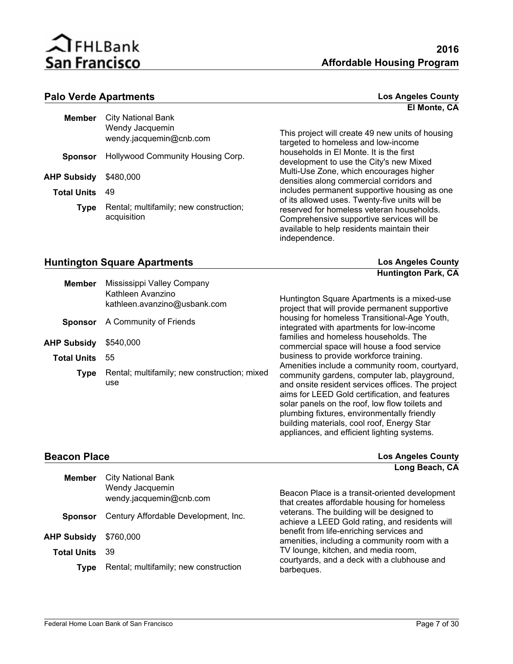

#### **Palo Verde Apartments Los Angeles County**

| Member             | City National Bank<br>Wendy Jacquemin<br>wendy.jacquemin@cnb.com |
|--------------------|------------------------------------------------------------------|
|                    | <b>Sponsor</b> Hollywood Community Housing Corp.                 |
| AHP Subsidy        | \$480,000                                                        |
| <b>Total Units</b> | 49                                                               |
| <b>Type</b>        | Rental; multifamily; new construction;<br>acquisition            |

This project will create 49 new units of housing targeted to homeless and low-income households in El Monte. It is the first development to use the City's new Mixed Multi-Use Zone, which encourages higher densities along commercial corridors and includes permanent supportive housing as one of its allowed uses. Twenty-five units will be reserved for homeless veteran households. Comprehensive supportive services will be available to help residents maintain their independence.

#### **Huntington Square Apartments Los Angeles County**

**Huntington Park, CA**

**El Monte, CA**

| <b>Member</b>      | Mississippi Valley Company<br>Kathleen Avanzino<br>kathleen.avanzino@usbank.com | Huntington Square Apartments is a mixed-use<br>project that will provide permanent supportive                                                                                                                                                                                                                                                                                                       |
|--------------------|---------------------------------------------------------------------------------|-----------------------------------------------------------------------------------------------------------------------------------------------------------------------------------------------------------------------------------------------------------------------------------------------------------------------------------------------------------------------------------------------------|
| <b>Sponsor</b>     | A Community of Friends                                                          | housing for homeless Transitional-Age Youth,<br>integrated with apartments for low-income                                                                                                                                                                                                                                                                                                           |
| AHP Subsidy        | \$540,000                                                                       | families and homeless households. The<br>commercial space will house a food service                                                                                                                                                                                                                                                                                                                 |
| <b>Total Units</b> | 55                                                                              | business to provide workforce training.                                                                                                                                                                                                                                                                                                                                                             |
| <b>Type</b>        | Rental; multifamily; new construction; mixed<br>use                             | Amenities include a community room, courtyard,<br>community gardens, computer lab, playground,<br>and onsite resident services offices. The project<br>aims for LEED Gold certification, and features<br>solar panels on the roof, low flow toilets and<br>plumbing fixtures, environmentally friendly<br>building materials, cool roof, Energy Star<br>appliances, and efficient lighting systems. |

**Beacon Place Los Angeles County Long Beach, CA**

| <b>Member</b>      | <b>City National Bank</b><br>Wendy Jacquemin<br>wendy.jacquemin@cnb.com | Beacon Place is a transit-oriented development<br>that creates affordable housing for homeless |
|--------------------|-------------------------------------------------------------------------|------------------------------------------------------------------------------------------------|
| <b>Sponsor</b>     | Century Affordable Development, Inc.                                    | veterans. The building will be designed to<br>achieve a LEED Gold rating, and residents will   |
| <b>AHP Subsidy</b> | \$760,000                                                               | benefit from life-enriching services and<br>amenities, including a community room with a       |
| <b>Total Units</b> | -39                                                                     | TV lounge, kitchen, and media room,<br>courtyards, and a deck with a clubhouse and             |
| Type               | Rental; multifamily; new construction                                   | barbeques.                                                                                     |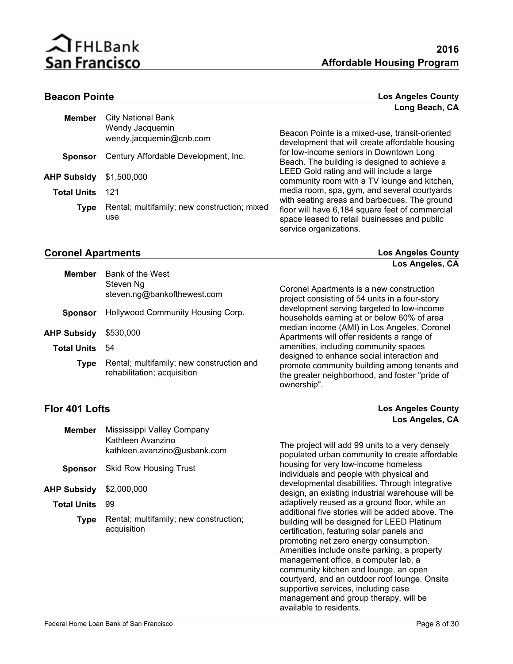

#### **Beacon Pointe Los Angeles County Long Beach, CA**

| <b>Member</b>      | <b>City National Bank</b>                           |                                                                                                                           |
|--------------------|-----------------------------------------------------|---------------------------------------------------------------------------------------------------------------------------|
|                    | Wendy Jacquemin<br>wendy.jacquemin@cnb.com          | Beacon Pointe is a mixed-use, transit-oriented<br>development that will create affordable housing                         |
| <b>Sponsor</b>     | Century Affordable Development, Inc.                | for low-income seniors in Downtown Long<br>Beach. The building is designed to achieve a                                   |
| <b>AHP Subsidy</b> | \$1,500,000                                         | LEED Gold rating and will include a large<br>community room with a TV lounge and kitchen,                                 |
| <b>Total Units</b> | 121                                                 | media room, spa, gym, and several courtyards<br>with seating areas and barbecues. The ground                              |
| Type               | Rental; multifamily; new construction; mixed<br>use | floor will have 6,184 square feet of commercial<br>space leased to retail businesses and public<br>service organizations. |

#### **Coronel Apartments Los Angeles County**

**Los Angeles, CA**

| <b>Member</b>      | Bank of the West<br>Steven Ng                                            |                                                                                                                                                             |
|--------------------|--------------------------------------------------------------------------|-------------------------------------------------------------------------------------------------------------------------------------------------------------|
|                    | steven.ng@bankofthewest.com                                              | Coronel Apartments is a new construction<br>project consisting of 54 units in a four-story                                                                  |
| <b>Sponsor</b>     | Hollywood Community Housing Corp.                                        | development serving targeted to low-income<br>households earning at or below 60% of area                                                                    |
| <b>AHP Subsidy</b> | \$530,000                                                                | median income (AMI) in Los Angeles. Coronel<br>Apartments will offer residents a range of                                                                   |
| <b>Total Units</b> | 54                                                                       | amenities, including community spaces                                                                                                                       |
| Type               | Rental; multifamily; new construction and<br>rehabilitation; acquisition | designed to enhance social interaction and<br>promote community building among tenants and<br>the greater neighborhood, and foster "pride of<br>ownership". |

### **Flor 401 Lofts**

| <b>Los Angeles County</b> |
|---------------------------|
| Los Angeles, CA           |

| <b>Member</b>      | Mississippi Valley Company<br>Kathleen Avanzino<br>kathleen.avanzino@usbank.com | The project will add 99 units to a very densely<br>populated urban community to create affordable                                                                                                                                                                                                                                                                                                                               |
|--------------------|---------------------------------------------------------------------------------|---------------------------------------------------------------------------------------------------------------------------------------------------------------------------------------------------------------------------------------------------------------------------------------------------------------------------------------------------------------------------------------------------------------------------------|
| <b>Sponsor</b>     | <b>Skid Row Housing Trust</b>                                                   | housing for very low-income homeless<br>individuals and people with physical and                                                                                                                                                                                                                                                                                                                                                |
| <b>AHP Subsidy</b> | \$2,000,000                                                                     | developmental disabilities. Through integrative<br>design, an existing industrial warehouse will be                                                                                                                                                                                                                                                                                                                             |
| <b>Total Units</b> | 99                                                                              | adaptively reused as a ground floor, while an<br>additional five stories will be added above. The                                                                                                                                                                                                                                                                                                                               |
| <b>Type</b>        | Rental; multifamily; new construction;<br>acquisition                           | building will be designed for LEED Platinum<br>certification, featuring solar panels and<br>promoting net zero energy consumption.<br>Amenities include onsite parking, a property<br>management office, a computer lab, a<br>community kitchen and lounge, an open<br>courtyard, and an outdoor roof lounge. Onsite<br>supportive services, including case<br>management and group therapy, will be<br>available to residents. |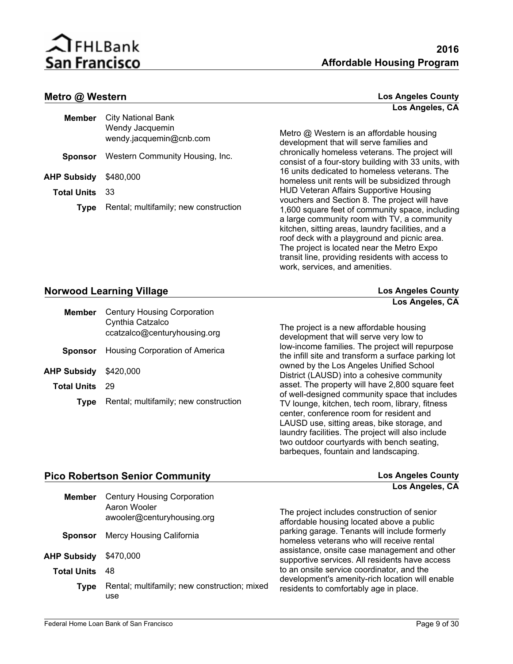

#### **Metro @ Western Los Angeles County**

| Member                | <b>City National Bank</b><br>Wendy Jacquemin<br>wendy.jacquemin@cnb.com |
|-----------------------|-------------------------------------------------------------------------|
| Sponsor               | Western Community Housing, Inc.                                         |
| AHP Subsidy \$480,000 |                                                                         |
| <b>Total Units</b>    | 33                                                                      |
| <b>Type</b>           | Rental; multifamily; new construction                                   |

**Los Angeles, CA**

Metro @ Western is an affordable housing development that will serve families and chronically homeless veterans. The project will consist of a four-story building with 33 units, with 16 units dedicated to homeless veterans. The homeless unit rents will be subsidized through HUD Veteran Affairs Supportive Housing vouchers and Section 8. The project will have 1,600 square feet of community space, including a large community room with TV, a community kitchen, sitting areas, laundry facilities, and a roof deck with a playground and picnic area. The project is located near the Metro Expo transit line, providing residents with access to work, services, and amenities.

#### **Norwood Learning Village Los Angeles County**

| <b>Century Housing Corporation</b><br>Member<br>Cynthia Catzalco<br>ccatzalco@centuryhousing.org |
|--------------------------------------------------------------------------------------------------|
| <b>Sponsor</b> Housing Corporation of America                                                    |
| AHP Subsidy \$420,000                                                                            |
| -29                                                                                              |
| Rental; multifamily; new construction                                                            |
|                                                                                                  |

**Los Angeles, CA**

The project is a new affordable housing development that will serve very low to low-income families. The project will repurpose the infill site and transform a surface parking lot owned by the Los Angeles Unified School District (LAUSD) into a cohesive community asset. The property will have 2,800 square feet of well-designed community space that includes TV lounge, kitchen, tech room, library, fitness center, conference room for resident and LAUSD use, sitting areas, bike storage, and laundry facilities. The project will also include two outdoor courtyards with bench seating, barbeques, fountain and landscaping.

#### **Pico Robertson Senior Community Los Angeles County**

|                    |                                                                                  | Los Angeles, CA                                                                                |
|--------------------|----------------------------------------------------------------------------------|------------------------------------------------------------------------------------------------|
| <b>Member</b>      | <b>Century Housing Corporation</b><br>Aaron Wooler<br>awooler@centuryhousing.org | The project includes construction of senior<br>affordable housing located above a public       |
| <b>Sponsor</b>     | Mercy Housing California                                                         | parking garage. Tenants will include formerly<br>homeless veterans who will receive rental     |
| AHP Subsidy        | \$470.000                                                                        | assistance, onsite case management and other<br>supportive services. All residents have access |
| <b>Total Units</b> | 48                                                                               | to an onsite service coordinator, and the<br>development's amenity-rich location will enable   |
| <b>Type</b>        | Rental; multifamily; new construction; mixed<br>use                              | residents to comfortably age in place.                                                         |
|                    |                                                                                  |                                                                                                |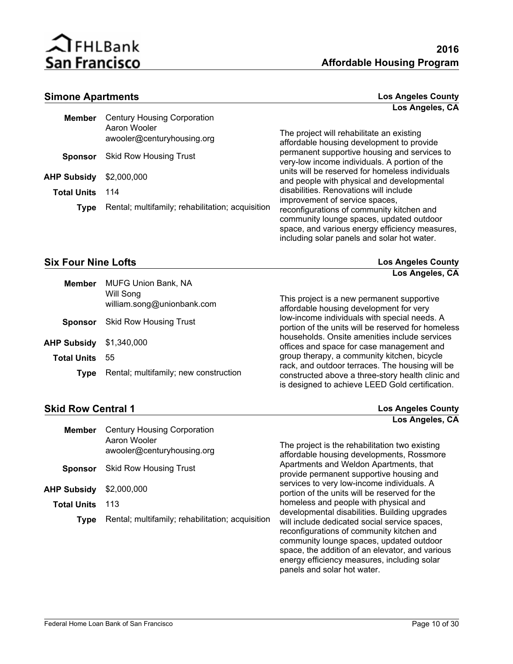

#### **Simone Apartments**

| <b>Los Angeles County</b> |                 |  |
|---------------------------|-----------------|--|
|                           | Los Angeles, CA |  |

| <b>Member</b>      | <b>Century Housing Corporation</b><br>Aaron Wooler<br>awooler@centuryhousing.org | The project will rehabilitate an existing<br>affordable housing development to provide                                                                                                 |
|--------------------|----------------------------------------------------------------------------------|----------------------------------------------------------------------------------------------------------------------------------------------------------------------------------------|
| <b>Sponsor</b>     | <b>Skid Row Housing Trust</b>                                                    | permanent supportive housing and services to<br>very-low income individuals. A portion of the                                                                                          |
| AHP Subsidy        | \$2,000,000                                                                      | units will be reserved for homeless individuals<br>and people with physical and developmental                                                                                          |
| <b>Total Units</b> | 114                                                                              | disabilities. Renovations will include<br>improvement of service spaces,                                                                                                               |
| Type               | Rental; multifamily; rehabilitation; acquisition                                 | reconfigurations of community kitchen and<br>community lounge spaces, updated outdoor<br>space, and various energy efficiency measures,<br>including solar panels and solar hot water. |

#### **Six Four Nine Lofts Los Angeles County**

|                    |                                         | Los Angeles, CA                                                                                      |
|--------------------|-----------------------------------------|------------------------------------------------------------------------------------------------------|
| <b>Member</b>      | <b>MUFG Union Bank, NA</b>              |                                                                                                      |
|                    | Will Song<br>william.song@unionbank.com | This project is a new permanent supportive<br>affordable housing development for very                |
| <b>Sponsor</b>     | <b>Skid Row Housing Trust</b>           | low-income individuals with special needs. A<br>portion of the units will be reserved for homeless   |
| AHP Subsidy        | \$1,340,000                             | households. Onsite amenities include services<br>offices and space for case management and           |
| <b>Total Units</b> | 55                                      | group therapy, a community kitchen, bicycle                                                          |
| Tvpe               | Rental; multifamily; new construction   | rack, and outdoor terraces. The housing will be<br>constructed above a three-story health clinic and |

#### **Skid Row Central 1 Los Angeles County**

is designed to achieve LEED Gold certification.

panels and solar hot water.

|                    |                                                                                  | Los Angeles, CA                                                                                                                                                                                                                                                                           |
|--------------------|----------------------------------------------------------------------------------|-------------------------------------------------------------------------------------------------------------------------------------------------------------------------------------------------------------------------------------------------------------------------------------------|
| <b>Member</b>      | <b>Century Housing Corporation</b><br>Aaron Wooler<br>awooler@centuryhousing.org | The project is the rehabilitation two existing<br>affordable housing developments, Rossmore                                                                                                                                                                                               |
| <b>Sponsor</b>     | <b>Skid Row Housing Trust</b>                                                    | Apartments and Weldon Apartments, that<br>provide permanent supportive housing and                                                                                                                                                                                                        |
| AHP Subsidy        | \$2,000,000                                                                      | services to very low-income individuals. A<br>portion of the units will be reserved for the                                                                                                                                                                                               |
| <b>Total Units</b> | 113                                                                              | homeless and people with physical and                                                                                                                                                                                                                                                     |
| <b>Type</b>        | Rental; multifamily; rehabilitation; acquisition                                 | developmental disabilities. Building upgrades<br>will include dedicated social service spaces,<br>reconfigurations of community kitchen and<br>community lounge spaces, updated outdoor<br>space, the addition of an elevator, and various<br>energy efficiency measures, including solar |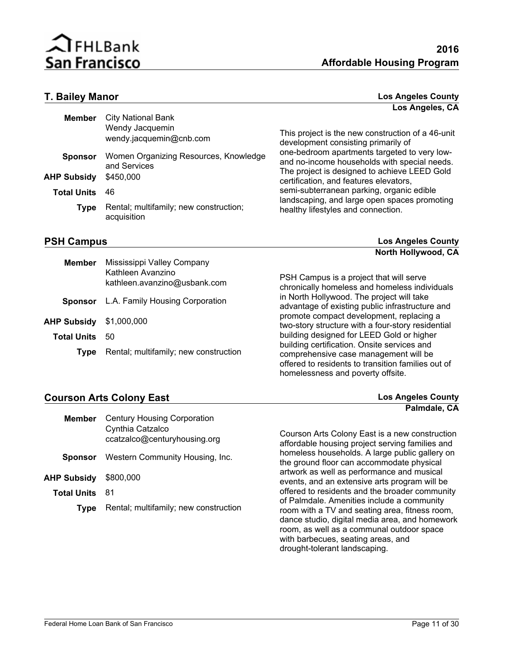

#### **T. Bailey Manor Los Angeles County Los Angeles, CA**

| <b>Member</b>      | <b>City National Bank</b><br>Wendy Jacquemin<br>wendy.jacquemin@cnb.com | This project is the new construction of a 46-unit<br>development consisting primarily of                                                     |
|--------------------|-------------------------------------------------------------------------|----------------------------------------------------------------------------------------------------------------------------------------------|
| <b>Sponsor</b>     | Women Organizing Resources, Knowledge<br>and Services                   | one-bedroom apartments targeted to very low-<br>and no-income households with special needs.<br>The project is designed to achieve LEED Gold |
| <b>AHP Subsidy</b> | \$450,000                                                               | certification, and features elevators,                                                                                                       |
| <b>Total Units</b> | 46                                                                      | semi-subterranean parking, organic edible<br>landscaping, and large open spaces promoting                                                    |
| <b>Type</b>        | Rental; multifamily; new construction;<br>acquisition                   | healthy lifestyles and connection.                                                                                                           |
| <b>PSH Campus</b>  |                                                                         | <b>Los Angeles County</b>                                                                                                                    |

**North Hollywood, CA**

| <b>Member</b>      | Mississippi Valley Company<br>Kathleen Avanzino<br>kathleen.avanzino@usbank.com | PSH Campus is a project that will serve<br>chronically homeless and homeless individuals                                                                                        |
|--------------------|---------------------------------------------------------------------------------|---------------------------------------------------------------------------------------------------------------------------------------------------------------------------------|
| <b>Sponsor</b>     | L.A. Family Housing Corporation                                                 | in North Hollywood. The project will take<br>advantage of existing public infrastructure and                                                                                    |
| <b>AHP Subsidy</b> | \$1,000,000                                                                     | promote compact development, replacing a<br>two-story structure with a four-story residential                                                                                   |
| <b>Total Units</b> | 50                                                                              | building designed for LEED Gold or higher                                                                                                                                       |
| Type               | Rental; multifamily; new construction                                           | building certification. Onsite services and<br>comprehensive case management will be<br>offered to residents to transition families out of<br>homelessness and poverty offsite. |

### **Courson Arts Colony East Los Angeles County**

| Member                | <b>Century Housing Corporation</b><br>Cynthia Catzalco<br>ccatzalco@centuryhousing.org |
|-----------------------|----------------------------------------------------------------------------------------|
| <b>Sponsor</b>        | Western Community Housing, Inc.                                                        |
| AHP Subsidy \$800,000 |                                                                                        |
| <b>Total Units</b>    | - 81                                                                                   |
| <b>T</b> vpe          | Rental; multifamily; new construction                                                  |

Courson Arts Colony East is a new construction affordable housing project serving families and homeless households. A large public gallery on the ground floor can accommodate physical artwork as well as performance and musical events, and an extensive arts program will be offered to residents and the broader community of Palmdale. Amenities include a community room with a TV and seating area, fitness room, dance studio, digital media area, and homework room, as well as a communal outdoor space with barbecues, seating areas, and drought-tolerant landscaping.

**Palmdale, CA**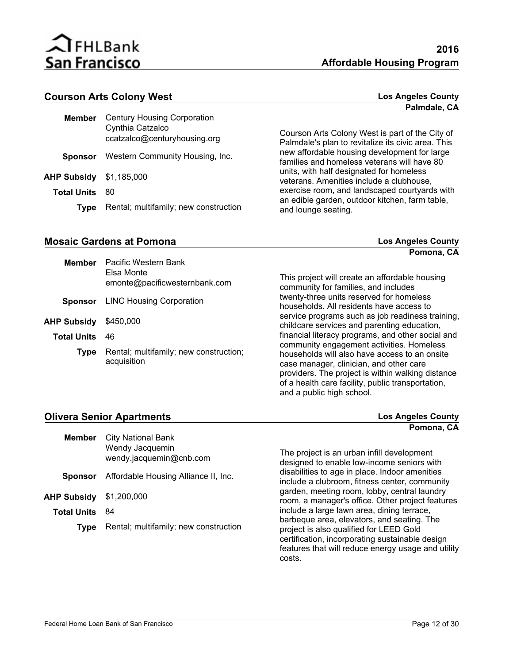

#### **Courson Arts Colony West Los Angeles County**

|                    |                                                                                        | Palmdale, CA                                                                                          |
|--------------------|----------------------------------------------------------------------------------------|-------------------------------------------------------------------------------------------------------|
| Member             | <b>Century Housing Corporation</b><br>Cynthia Catzalco<br>ccatzalco@centuryhousing.org | Courson Arts Colony West is part of the City of<br>Palmdale's plan to revitalize its civic area. This |
| <b>Sponsor</b>     | Western Community Housing, Inc.                                                        | new affordable housing development for large<br>families and homeless veterans will have 80           |
| <b>AHP Subsidy</b> | \$1,185,000                                                                            | units, with half designated for homeless<br>veterans. Amenities include a clubhouse,                  |
| <b>Total Units</b> | 80                                                                                     | exercise room, and landscaped courtyards with                                                         |
| Type               | Rental; multifamily; new construction                                                  | an edible garden, outdoor kitchen, farm table,<br>and lounge seating.                                 |
|                    |                                                                                        |                                                                                                       |

### **Mosaic Gardens at Pomona Los Angeles County**

**Pomona, CA**

| <b>Member</b>      | Pacific Western Bank                                  |                                                                                                                                                                                                                                 |
|--------------------|-------------------------------------------------------|---------------------------------------------------------------------------------------------------------------------------------------------------------------------------------------------------------------------------------|
|                    | Elsa Monte<br>emonte@pacificwesternbank.com           | This project will create an affordable housing<br>community for families, and includes                                                                                                                                          |
| <b>Sponsor</b>     | <b>LINC Housing Corporation</b>                       | twenty-three units reserved for homeless<br>households. All residents have access to                                                                                                                                            |
| AHP Subsidy        | \$450,000                                             | service programs such as job readiness training,<br>childcare services and parenting education,                                                                                                                                 |
| <b>Total Units</b> | 46                                                    | financial literacy programs, and other social and<br>community engagement activities. Homeless                                                                                                                                  |
| <b>Type</b>        | Rental; multifamily; new construction;<br>acquisition | households will also have access to an onsite<br>case manager, clinician, and other care<br>providers. The project is within walking distance<br>of a health care facility, public transportation,<br>and a public high school. |

| <b>Olivera Senior Apartments</b> |                                            | <b>Los Angeles County</b>                                                                                                                                                                      |
|----------------------------------|--------------------------------------------|------------------------------------------------------------------------------------------------------------------------------------------------------------------------------------------------|
|                                  |                                            | Pomona, CA                                                                                                                                                                                     |
| <b>Member</b>                    | <b>City National Bank</b>                  |                                                                                                                                                                                                |
|                                  | Wendy Jacquemin<br>wendy.jacquemin@cnb.com | The project is an urban infill development<br>designed to enable low-income seniors with                                                                                                       |
| <b>Sponsor</b>                   | Affordable Housing Alliance II, Inc.       | disabilities to age in place. Indoor amenities<br>include a clubroom, fitness center, community                                                                                                |
| <b>AHP Subsidy</b>               | \$1,200,000                                | garden, meeting room, lobby, central laundry<br>room, a manager's office. Other project features                                                                                               |
| <b>Total Units</b>               | 84                                         | include a large lawn area, dining terrace,                                                                                                                                                     |
| <b>Type</b>                      | Rental; multifamily; new construction      | barbeque area, elevators, and seating. The<br>project is also qualified for LEED Gold<br>certification, incorporating sustainable design<br>features that will reduce energy usage and utility |

costs.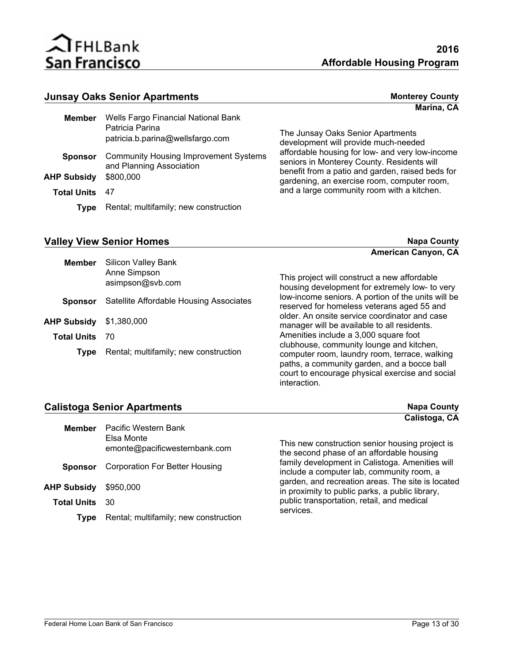

#### **Junsay Oaks Senior Apartments**

| <b>Monterey County</b> |            |  |
|------------------------|------------|--|
|                        | Marina, CA |  |

| Member             | Wells Fargo Financial National Bank<br>Patricia Parina<br>patricia.b.parina@wellsfargo.com |
|--------------------|--------------------------------------------------------------------------------------------|
| <b>Sponsor</b>     | <b>Community Housing Improvement Systems</b><br>and Planning Association                   |
| <b>AHP Subsidy</b> | \$800,000                                                                                  |
| <b>Total Units</b> | 47                                                                                         |
| Type               | Rental; multifamily; new construction                                                      |

The Junsay Oaks Senior Apartments development will provide much-needed affordable housing for low- and very low-income seniors in Monterey County. Residents will benefit from a patio and garden, raised beds for gardening, an exercise room, computer room, and a large community room with a kitchen.

#### **Valley View Senior Homes Napa County Napa County**

|                    |                                            | American Canyon, CA                                                                                                                                                                         |
|--------------------|--------------------------------------------|---------------------------------------------------------------------------------------------------------------------------------------------------------------------------------------------|
| <b>Member</b>      | <b>Silicon Valley Bank</b><br>Anne Simpson |                                                                                                                                                                                             |
|                    | asimpson@svb.com                           | This project will construct a new affordable<br>housing development for extremely low- to very                                                                                              |
| <b>Sponsor</b>     | Satellite Affordable Housing Associates    | low-income seniors. A portion of the units will be<br>reserved for homeless veterans aged 55 and                                                                                            |
| <b>AHP Subsidy</b> | \$1,380,000                                | older. An onsite service coordinator and case<br>manager will be available to all residents.                                                                                                |
| <b>Total Units</b> | 70                                         | Amenities include a 3,000 square foot                                                                                                                                                       |
| Tvpe               | Rental; multifamily; new construction      | clubhouse, community lounge and kitchen,<br>computer room, laundry room, terrace, walking<br>paths, a community garden, and a bocce ball<br>court to encourage physical exercise and social |

interaction.

#### **Calistoga Senior Apartments Napa County Napa County**

|                       |                                       | Calistoga, CA                                                                                        |
|-----------------------|---------------------------------------|------------------------------------------------------------------------------------------------------|
| <b>Member</b>         | Pacific Western Bank                  |                                                                                                      |
|                       | Elsa Monte                            |                                                                                                      |
|                       | emonte@pacificwesternbank.com         | This new construction senior housing project is<br>the second phase of an affordable housing         |
| <b>Sponsor</b>        | Corporation For Better Housing        | family development in Calistoga. Amenities will<br>include a computer lab, community room, a         |
| AHP Subsidy           | \$950,000                             | garden, and recreation areas. The site is located<br>in proximity to public parks, a public library, |
| <b>Total Units</b> 30 |                                       | public transportation, retail, and medical<br>services.                                              |
| Type                  | Rental; multifamily; new construction |                                                                                                      |
|                       |                                       |                                                                                                      |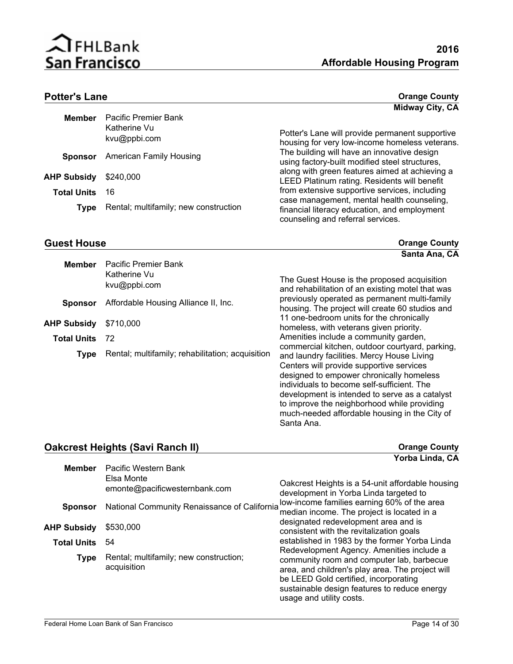

much-needed affordable housing in the City of

#### **Potter's Lane Orange County**

|                    |                                                      | Midway City, CA                                                                                                                 |
|--------------------|------------------------------------------------------|---------------------------------------------------------------------------------------------------------------------------------|
| <b>Member</b>      | Pacific Premier Bank<br>Katherine Vu<br>kvu@ppbi.com | Potter's Lane will provide permanent supportive<br>housing for very low-income homeless veterans.                               |
| <b>Sponsor</b>     | <b>American Family Housing</b>                       | The building will have an innovative design<br>using factory-built modified steel structures,                                   |
| <b>AHP Subsidy</b> | \$240,000                                            | along with green features aimed at achieving a<br>LEED Platinum rating. Residents will benefit                                  |
| <b>Total Units</b> | 16                                                   | from extensive supportive services, including                                                                                   |
| Type               | Rental; multifamily; new construction                | case management, mental health counseling,<br>financial literacy education, and employment<br>counseling and referral services. |

**Causal House County Causa County Cause County Cause County County County County County County County Santa Ana, CA**

| <b>Member</b>      | Pacific Premier Bank<br>Katherine Vu<br>kvu@ppbi.com | The Guest House is the proposed acquisition<br>and rehabilitation of an existing motel that was                                                                                                                                                                                                                                      |
|--------------------|------------------------------------------------------|--------------------------------------------------------------------------------------------------------------------------------------------------------------------------------------------------------------------------------------------------------------------------------------------------------------------------------------|
| <b>Sponsor</b>     | Affordable Housing Alliance II, Inc.                 | previously operated as permanent multi-family<br>housing. The project will create 60 studios and                                                                                                                                                                                                                                     |
| <b>AHP Subsidy</b> | \$710,000                                            | 11 one-bedroom units for the chronically<br>homeless, with veterans given priority.                                                                                                                                                                                                                                                  |
| <b>Total Units</b> | 72                                                   | Amenities include a community garden,                                                                                                                                                                                                                                                                                                |
| <b>Type</b>        | Rental; multifamily; rehabilitation; acquisition     | commercial kitchen, outdoor courtyard, parking,<br>and laundry facilities. Mercy House Living<br>Centers will provide supportive services<br>designed to empower chronically homeless<br>individuals to become self-sufficient. The<br>development is intended to serve as a catalyst<br>to improve the neighborhood while providing |

#### **Oakcrest Heights (Savi Ranch II) Dakcrest Heights (Savi Ranch II) Drange County Yorba Linda, CA**

Santa Ana.

|                       |                                                       | 0.                                                                                                                                                                                                                                                                                                                                                                                                   |
|-----------------------|-------------------------------------------------------|------------------------------------------------------------------------------------------------------------------------------------------------------------------------------------------------------------------------------------------------------------------------------------------------------------------------------------------------------------------------------------------------------|
| <b>Member</b>         | Pacific Western Bank                                  |                                                                                                                                                                                                                                                                                                                                                                                                      |
|                       | Elsa Monte<br>emonte@pacificwesternbank.com           | Oakcrest Heights is a 54-unit affordable housing<br>development in Yorba Linda targeted to                                                                                                                                                                                                                                                                                                           |
| <b>Sponsor</b>        | National Community Renaissance of California          | low-income families earning 60% of the area<br>median income. The project is located in a                                                                                                                                                                                                                                                                                                            |
| <b>AHP Subsidy</b>    | \$530,000                                             | designated redevelopment area and is<br>consistent with the revitalization goals<br>established in 1983 by the former Yorba Linda<br>Redevelopment Agency. Amenities include a<br>community room and computer lab, barbecue<br>area, and children's play area. The project will<br>be LEED Gold certified, incorporating<br>sustainable design features to reduce energy<br>usage and utility costs. |
| <b>Total Units</b> 54 |                                                       |                                                                                                                                                                                                                                                                                                                                                                                                      |
| <b>Type</b>           | Rental; multifamily; new construction;<br>acquisition |                                                                                                                                                                                                                                                                                                                                                                                                      |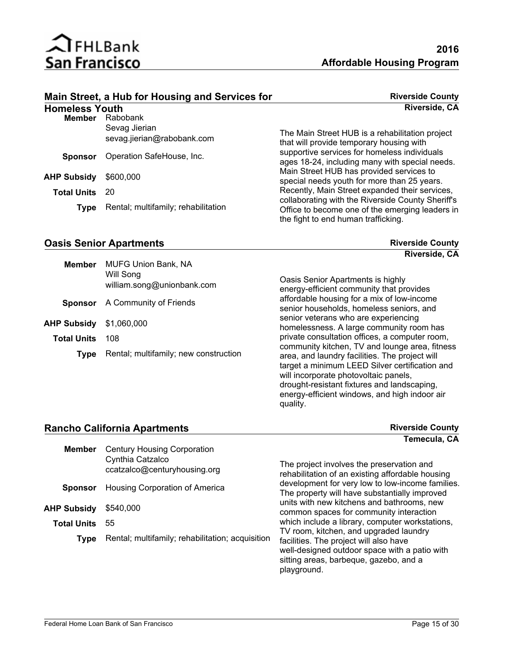

|                       | Main Street, a Hub for Housing and Services for | <b>Riverside County</b>                                                                             |
|-----------------------|-------------------------------------------------|-----------------------------------------------------------------------------------------------------|
| <b>Homeless Youth</b> |                                                 | Riverside, CA                                                                                       |
| Member                | Rabobank                                        |                                                                                                     |
|                       | Sevag Jierian<br>sevag.jierian@rabobank.com     | The Main Street HUB is a rehabilitation project<br>that will provide temporary housing with         |
| <b>Sponsor</b>        | Operation SafeHouse, Inc.                       | supportive services for homeless individuals<br>ages 18-24, including many with special needs.      |
| <b>AHP Subsidy</b>    | \$600,000                                       | Main Street HUB has provided services to<br>special needs youth for more than 25 years.             |
| <b>Total Units</b>    | -20                                             | Recently, Main Street expanded their services,<br>collaborating with the Riverside County Sheriff's |
| <b>Type</b>           | Rental; multifamily; rehabilitation             | Office to become one of the emerging leaders in<br>the fight to end human trafficking.              |

### **Oasis Senior Apartments Riverside County Riverside County**

**Riverside, CA**

| <b>Member</b>      | <b>MUFG Union Bank, NA</b>              |                                                                                                                                                                                                                                           |
|--------------------|-----------------------------------------|-------------------------------------------------------------------------------------------------------------------------------------------------------------------------------------------------------------------------------------------|
|                    | Will Song<br>william.song@unionbank.com | Oasis Senior Apartments is highly<br>energy-efficient community that provides                                                                                                                                                             |
| <b>Sponsor</b>     | A Community of Friends                  | affordable housing for a mix of low-income<br>senior households, homeless seniors, and                                                                                                                                                    |
| AHP Subsidy        | \$1,060,000                             | senior veterans who are experiencing<br>homelessness. A large community room has                                                                                                                                                          |
| <b>Total Units</b> | 108                                     | private consultation offices, a computer room,<br>community kitchen, TV and lounge area, fitness                                                                                                                                          |
| Type               | Rental; multifamily; new construction   | area, and laundry facilities. The project will<br>target a minimum LEED Silver certification and<br>will incorporate photovoltaic panels,<br>drought-resistant fixtures and landscaping,<br>energy-efficient windows, and high indoor air |

quality.

#### **Rancho California Apartments Riverside County Riverside County**

## **Temecula, CA**

| <b>Member</b>      | <b>Century Housing Corporation</b><br>Cynthia Catzalco<br>ccatzalco@centuryhousing.org | The project involves the preservation and<br>rehabilitation of an existing affordable housing                                                                                              |
|--------------------|----------------------------------------------------------------------------------------|--------------------------------------------------------------------------------------------------------------------------------------------------------------------------------------------|
| <b>Sponsor</b>     | Housing Corporation of America                                                         | development for very low to low-income families.<br>The property will have substantially improved                                                                                          |
| <b>AHP Subsidy</b> | \$540,000                                                                              | units with new kitchens and bathrooms, new<br>common spaces for community interaction                                                                                                      |
| <b>Total Units</b> | 55                                                                                     | which include a library, computer workstations,                                                                                                                                            |
| Type               | Rental; multifamily; rehabilitation; acquisition                                       | TV room, kitchen, and upgraded laundry<br>facilities. The project will also have<br>well-designed outdoor space with a patio with<br>sitting areas, barbeque, gazebo, and a<br>playground. |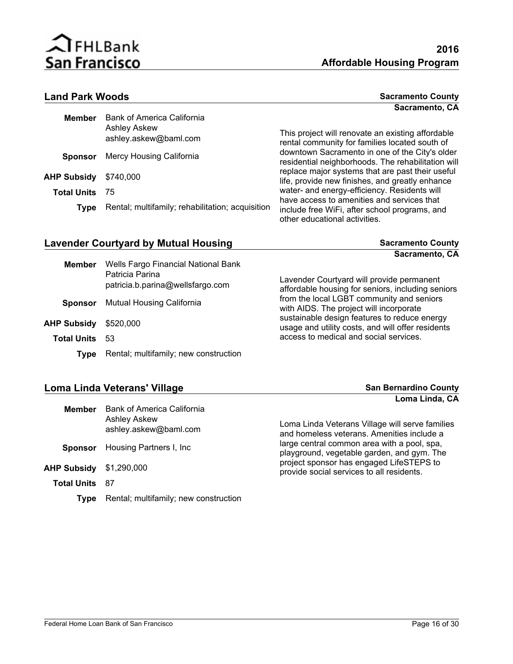

#### **Land Park Woods**

| <b>Sacramento County</b> |  |
|--------------------------|--|
| Sacramento, CA           |  |

| <b>Member</b>      | <b>Bank of America California</b><br><b>Ashley Askew</b><br>ashley.askew@baml.com | This project will renovate an existing affordable<br>rental community for families located south of  |
|--------------------|-----------------------------------------------------------------------------------|------------------------------------------------------------------------------------------------------|
| <b>Sponsor</b>     | Mercy Housing California                                                          | downtown Sacramento in one of the City's older<br>residential neighborhoods. The rehabilitation will |
| <b>AHP Subsidy</b> | \$740.000                                                                         | replace major systems that are past their useful<br>life, provide new finishes, and greatly enhance  |
| <b>Total Units</b> | -75                                                                               | water- and energy-efficiency. Residents will<br>have access to amenities and services that           |
| <b>Type</b>        | Rental; multifamily; rehabilitation; acquisition                                  | include free WiFi, after school programs, and<br>other educational activities.                       |

### Lavender Courtyard by Mutual Housing **Sacramento County** Sacramento County

**Sacramento, CA**

| Member                       | Wells Fargo Financial National Bank<br>Patricia Parina<br>patricia.b.parina@wellsfargo.com |  |
|------------------------------|--------------------------------------------------------------------------------------------|--|
|                              | <b>Sponsor</b> Mutual Housing California                                                   |  |
| <b>AHP Subsidy</b> \$520,000 |                                                                                            |  |
| <b>Total Units</b>           | -53                                                                                        |  |
| <b>Type</b>                  | Rental; multifamily; new construction                                                      |  |

Lavender Courtyard will provide permanent affordable housing for seniors, including seniors from the local LGBT community and seniors with AIDS. The project will incorporate sustainable design features to reduce energy usage and utility costs, and will offer residents access to medical and social services.

#### **Loma Linda Veterans' Village and San Bernardino County** San Bernardino County

|                       |                                                                            | Loma Linda, CA                                                                                |
|-----------------------|----------------------------------------------------------------------------|-----------------------------------------------------------------------------------------------|
| <b>Member</b>         | Bank of America California<br><b>Ashley Askew</b><br>ashley.askew@baml.com | Loma Linda Veterans Village will serve families<br>and homeless veterans. Amenities include a |
| <b>Sponsor</b>        | Housing Partners I, Inc.                                                   | large central common area with a pool, spa,<br>playground, vegetable garden, and gym. The     |
| <b>AHP Subsidy</b>    | \$1,290,000                                                                | project sponsor has engaged LifeSTEPS to<br>provide social services to all residents.         |
| <b>Total Units</b> 87 |                                                                            |                                                                                               |
| Tvpe                  | Rental; multifamily; new construction                                      |                                                                                               |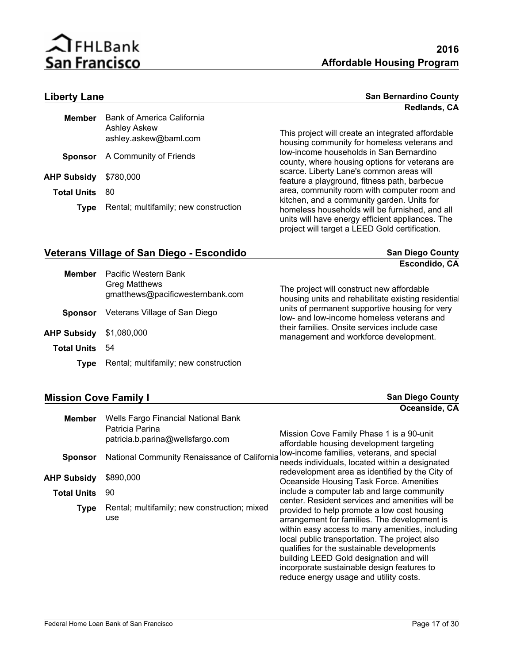

#### **Liberty Lane San Bernardino County Redlands, CA**

| <b>Member</b>         | <b>Bank of America California</b><br><b>Ashley Askew</b><br>ashley.askew@baml.com | This p<br>housir |
|-----------------------|-----------------------------------------------------------------------------------|------------------|
|                       | <b>Sponsor</b> A Community of Friends                                             | low-in<br>county |
| AHP Subsidy \$780,000 |                                                                                   | scarce<br>featur |
| <b>Total Units</b>    | -80                                                                               | area,            |
| <b>Type</b>           | Rental; multifamily; new construction                                             | kitche<br>homel  |

roject will create an integrated affordable ng community for homeless veterans and come households in San Bernardino y, where housing options for veterans are e. Liberty Lane's common areas will e a playground, fitness path, barbecue community room with computer room and In, and a community garden. Units for less households will be furnished, and all units will have energy efficient appliances. The project will target a LEED Gold certification.

#### **Veterans Village of San Diego - Escondido San Diego County San Diego County**

|                    |                                                          | Escondido, CA                                                                                    |
|--------------------|----------------------------------------------------------|--------------------------------------------------------------------------------------------------|
| <b>Member</b>      | Pacific Western Bank                                     |                                                                                                  |
|                    | <b>Greg Matthews</b><br>gmatthews@pacificwesternbank.com | The project will construct new affordable<br>housing units and rehabilitate existing residential |
| <b>Sponsor</b>     | Veterans Village of San Diego                            | units of permanent supportive housing for very<br>low- and low-income homeless veterans and      |
| <b>AHP Subsidy</b> | \$1,080,000                                              | their families. Onsite services include case<br>management and workforce development.            |
| <b>Total Units</b> | 54                                                       |                                                                                                  |
| Tvpe               | Rental; multifamily; new construction                    |                                                                                                  |

### **Mission Cove Family I Mission Cove Family I San Diego County**

|                    |                                                     | Oceansige, CA                                                                                                                                                                                                                                                                                                                                                                    |
|--------------------|-----------------------------------------------------|----------------------------------------------------------------------------------------------------------------------------------------------------------------------------------------------------------------------------------------------------------------------------------------------------------------------------------------------------------------------------------|
| <b>Member</b>      | Wells Fargo Financial National Bank                 |                                                                                                                                                                                                                                                                                                                                                                                  |
|                    | Patricia Parina<br>patricia.b.parina@wellsfargo.com | Mission Cove Family Phase 1 is a 90-unit<br>affordable housing development targeting                                                                                                                                                                                                                                                                                             |
| <b>Sponsor</b>     | National Community Renaissance of California        | low-income families, veterans, and special<br>needs individuals, located within a designated                                                                                                                                                                                                                                                                                     |
| AHP Subsidy        | \$890,000                                           | redevelopment area as identified by the City of<br>Oceanside Housing Task Force. Amenities                                                                                                                                                                                                                                                                                       |
| <b>Total Units</b> | 90                                                  | include a computer lab and large community<br>center. Resident services and amenities will be                                                                                                                                                                                                                                                                                    |
| <b>Type</b>        | Rental; multifamily; new construction; mixed<br>use | provided to help promote a low cost housing<br>arrangement for families. The development is<br>within easy access to many amenities, including<br>local public transportation. The project also<br>qualifies for the sustainable developments<br>building LEED Gold designation and will<br>incorporate sustainable design features to<br>reduce energy usage and utility costs. |

**Oceanside, CA**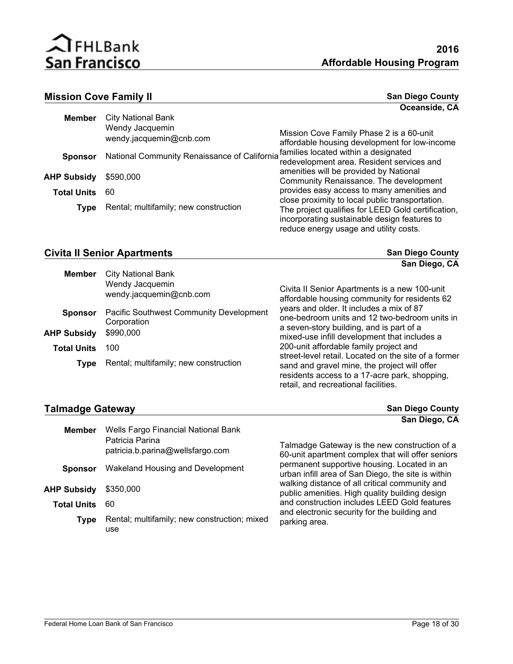

| <b>Mission Cove Family II</b> |                                              | <b>San Diego County</b>                                                                                                                      |  |  |
|-------------------------------|----------------------------------------------|----------------------------------------------------------------------------------------------------------------------------------------------|--|--|
|                               |                                              | Oceanside, CA                                                                                                                                |  |  |
| <b>Member</b>                 | <b>City National Bank</b>                    |                                                                                                                                              |  |  |
|                               | Wendy Jacquemin<br>wendy.jacquemin@cnb.com   | Mission Cove Family Phase 2 is a 60-unit<br>affordable housing development for low-income                                                    |  |  |
| <b>Sponsor</b>                | National Community Renaissance of California | families located within a designated<br>redevelopment area. Resident services and                                                            |  |  |
| <b>AHP Subsidy</b>            | \$590,000                                    | amenities will be provided by National<br>Community Renaissance. The development                                                             |  |  |
| <b>Total Units</b>            | 60                                           | provides easy access to many amenities and<br>close proximity to local public transportation.                                                |  |  |
| <b>Type</b>                   | Rental; multifamily; new construction        | The project qualifies for LEED Gold certification,<br>incorporating sustainable design features to<br>reduce energy usage and utility costs. |  |  |

#### **Civita II Senior Apartments San Diego County San Diego County**

|                    |                                                                         | San Diego, CA                                                                                  |
|--------------------|-------------------------------------------------------------------------|------------------------------------------------------------------------------------------------|
| <b>Member</b>      | <b>City National Bank</b><br>Wendy Jacquemin<br>wendy.jacquemin@cnb.com | Civita II Senior Apartments is a new 100-unit<br>affordable housing community for residents 62 |
| <b>Sponsor</b>     | Pacific Southwest Community Development<br>Corporation                  | years and older. It includes a mix of 87<br>one-bedroom units and 12 two-bedroom units in      |
| <b>AHP Subsidy</b> | \$990,000                                                               | a seven-story building, and is part of a<br>mixed-use infill development that includes a       |
| <b>Total Units</b> | 100                                                                     | 200-unit affordable family project and<br>street-level retail. Located on the site of a former |
| Type               | Rental; multifamily; new construction                                   | sand and gravel mine, the project will offer<br>residents access to a 17-acre park, shopping,  |

retail, and recreational facilities.

### **Talmadge Gateway San Diego County**

|                    |                                                                                            | San Diego, CA                                                                                      |
|--------------------|--------------------------------------------------------------------------------------------|----------------------------------------------------------------------------------------------------|
| <b>Member</b>      | Wells Fargo Financial National Bank<br>Patricia Parina<br>patricia.b.parina@wellsfargo.com | Talmadge Gateway is the new construction of a<br>60-unit apartment complex that will offer seniors |
| <b>Sponsor</b>     | Wakeland Housing and Development                                                           | permanent supportive housing. Located in an<br>urban infill area of San Diego, the site is within  |
| AHP Subsidy        | \$350,000                                                                                  | walking distance of all critical community and<br>public amenities. High quality building design   |
| <b>Total Units</b> | 60                                                                                         | and construction includes LEED Gold features<br>and electronic security for the building and       |
| <b>Type</b>        | Rental; multifamily; new construction; mixed<br>use                                        | parking area.                                                                                      |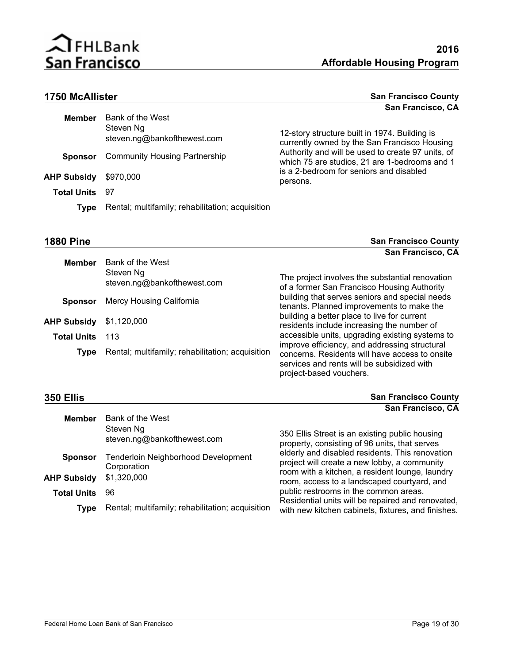

### **1750 McAllister**

| <b>San Francisco County</b> |                   |  |  |
|-----------------------------|-------------------|--|--|
|                             | San Francisco, CA |  |  |

| <b>Member</b>      | Bank of the West<br>Steven Ng<br>steven.ng@bankofthewest.com | 12-story structure built in 1974. Building is<br>currently owned by the San Francisco Housing      |
|--------------------|--------------------------------------------------------------|----------------------------------------------------------------------------------------------------|
| <b>Sponsor</b>     | <b>Community Housing Partnership</b>                         | Authority and will be used to create 97 units, of<br>which 75 are studios, 21 are 1-bedrooms and 1 |
| AHP Subsidy        | \$970,000                                                    | is a 2-bedroom for seniors and disabled<br>persons.                                                |
| <b>Total Units</b> | 97                                                           |                                                                                                    |
| Tvpe               | Rental; multifamily; rehabilitation; acquisition             |                                                                                                    |
|                    |                                                              |                                                                                                    |

**1880 Pine San Francisco County San Francisco, CA**

| <b>Member</b>      | Bank of the West                                 |                                                                                                                                                                          |
|--------------------|--------------------------------------------------|--------------------------------------------------------------------------------------------------------------------------------------------------------------------------|
|                    | Steven Ng<br>steven.ng@bankofthewest.com         | The project involves the substantial renovation<br>of a former San Francisco Housing Authority                                                                           |
| <b>Sponsor</b>     | Mercy Housing California                         | building that serves seniors and special needs<br>tenants. Planned improvements to make the                                                                              |
| <b>AHP Subsidy</b> | \$1,120,000                                      | building a better place to live for current<br>residents include increasing the number of                                                                                |
| <b>Total Units</b> | 113                                              | accessible units, upgrading existing systems to                                                                                                                          |
| Type               | Rental; multifamily; rehabilitation; acquisition | improve efficiency, and addressing structural<br>concerns. Residents will have access to onsite<br>services and rents will be subsidized with<br>project-based vouchers. |

**350 Ellis San Francisco County San Francisco, CA**

|                                                              | Vall Hallvistv, VA                                                                                                                                 |
|--------------------------------------------------------------|----------------------------------------------------------------------------------------------------------------------------------------------------|
| Bank of the West<br>Steven Ng<br>steven.ng@bankofthewest.com | 350 Ellis Street is an existing public housing<br>property, consisting of 96 units, that serves                                                    |
| Tenderloin Neighborhood Development<br>Corporation           | elderly and disabled residents. This renovation<br>project will create a new lobby, a community<br>room with a kitchen, a resident lounge, laundry |
|                                                              | room, access to a landscaped courtyard, and<br>public restrooms in the common areas.                                                               |
| Rental; multifamily; rehabilitation; acquisition             | Residential units will be repaired and renovated,<br>with new kitchen cabinets, fixtures, and finishes.                                            |
|                                                              | \$1,320,000<br>96                                                                                                                                  |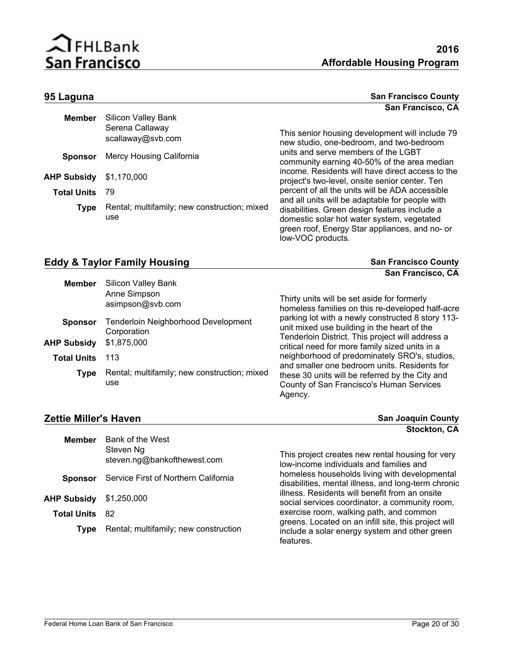

#### **95 Laguna San Francisco County San Francisco County San Francisco, CA**

**San Francisco, CA**

| <b>Member</b>      | <b>Silicon Valley Bank</b>                          |                                                                                                                                                                    |
|--------------------|-----------------------------------------------------|--------------------------------------------------------------------------------------------------------------------------------------------------------------------|
|                    | Serena Callaway<br>scallaway@svb.com                | This senior housing development will include 79<br>new studio, one-bedroom, and two-bedroom                                                                        |
| <b>Sponsor</b>     | Mercy Housing California                            | units and serve members of the LGBT<br>community earning 40-50% of the area median                                                                                 |
| AHP Subsidy        | \$1,170,000                                         | income. Residents will have direct access to the<br>project's two-level, onsite senior center. Ten                                                                 |
| <b>Total Units</b> | 79                                                  | percent of all the units will be ADA accessible<br>and all units will be adaptable for people with                                                                 |
| Type               | Rental; multifamily; new construction; mixed<br>use | disabilities. Green design features include a<br>domestic solar hot water system, vegetated<br>green roof, Energy Star appliances, and no- or<br>low-VOC products. |

### **Eddy & Taylor Family Housing <b>SAN ARE ARE A COUNTY SAN FRANCISCO COUNTY** San Francisco County

| <b>Member</b>      | <b>Silicon Valley Bank</b><br>Anne Simpson<br>asimpson@svb.com | Thirty units will be set aside for formerly<br>homeless families on this re-developed half-acre        |
|--------------------|----------------------------------------------------------------|--------------------------------------------------------------------------------------------------------|
| <b>Sponsor</b>     | Tenderloin Neighborhood Development<br>Corporation             | parking lot with a newly constructed 8 story 113-<br>unit mixed use building in the heart of the       |
| AHP Subsidy        | \$1,875,000                                                    | Tenderloin District. This project will address a<br>critical need for more family sized units in a     |
| <b>Total Units</b> | 113                                                            | neighborhood of predominately SRO's, studios,<br>and smaller one bedroom units. Residents for          |
| Type               | Rental; multifamily; new construction; mixed<br>use            | these 30 units will be referred by the City and<br>County of San Francisco's Human Services<br>Agency. |

#### **Zettie Miller's Haven**

| <b>Zettie Miller's Haven</b> |                                          | <b>San Joaquin County</b>                                                                                          |
|------------------------------|------------------------------------------|--------------------------------------------------------------------------------------------------------------------|
|                              |                                          | Stockton, CA                                                                                                       |
| <b>Member</b>                | Bank of the West                         |                                                                                                                    |
|                              | Steven Ng<br>steven.ng@bankofthewest.com | This project creates new rental housing for very<br>low-income individuals and families and                        |
| <b>Sponsor</b>               | Service First of Northern California     | homeless households living with developmental<br>disabilities, mental illness, and long-term chronic               |
| AHP Subsidy                  | \$1,250,000                              | illness. Residents will benefit from an onsite<br>social services coordinator, a community room,                   |
| <b>Total Units</b>           | -82                                      | exercise room, walking path, and common                                                                            |
| <b>Type</b>                  | Rental; multifamily; new construction    | greens. Located on an infill site, this project will<br>include a solar energy system and other green<br>features. |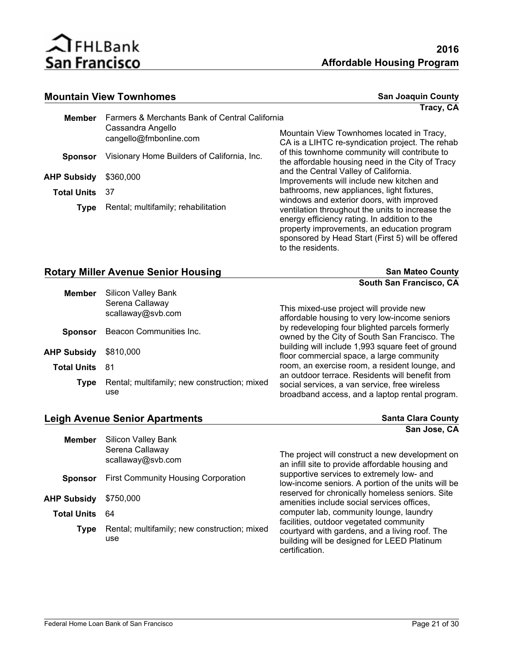

#### **Mountain View Townhomes San Joaquin County San Joaquin County**

**Tracy, CA**

| <b>Member</b>         | Farmers & Merchants Bank of Central California |                                                                                                                                                                                                                                                                        |
|-----------------------|------------------------------------------------|------------------------------------------------------------------------------------------------------------------------------------------------------------------------------------------------------------------------------------------------------------------------|
|                       | Cassandra Angello<br>cangello@fmbonline.com    | Mountain View Townhomes located in Tracy,<br>CA is a LIHTC re-syndication project. The rehab                                                                                                                                                                           |
| <b>Sponsor</b>        | Visionary Home Builders of California, Inc.    | of this townhome community will contribute to<br>the affordable housing need in the City of Tracy                                                                                                                                                                      |
| <b>AHP Subsidy</b>    | \$360,000                                      | and the Central Valley of California.<br>Improvements will include new kitchen and                                                                                                                                                                                     |
| <b>Total Units</b> 37 |                                                | bathrooms, new appliances, light fixtures,                                                                                                                                                                                                                             |
| <b>Type</b>           | Rental; multifamily; rehabilitation            | windows and exterior doors, with improved<br>ventilation throughout the units to increase the<br>energy efficiency rating. In addition to the<br>property improvements, an education program<br>sponsored by Head Start (First 5) will be offered<br>to the residents. |

| <b>Rotary Miller Avenue Senior Housing</b>              | <b>San Mateo County</b> |
|---------------------------------------------------------|-------------------------|
|                                                         | South San Francisco, CA |
| $\sim$ $\sim$ $\sim$ $\sim$ $\sim$ $\sim$ $\sim$ $\sim$ |                         |

| <b>Member</b>      | <b>Silicon Valley Bank</b><br>Serena Callaway<br>scallaway@svb.com | This mixed-use project will provide new<br>affordable housing to very low-income seniors                                                           |  |
|--------------------|--------------------------------------------------------------------|----------------------------------------------------------------------------------------------------------------------------------------------------|--|
| <b>Sponsor</b>     | Beacon Communities Inc.                                            | by redeveloping four blighted parcels formerly<br>owned by the City of South San Francisco. The                                                    |  |
| AHP Subsidy        | \$810,000                                                          | building will include 1,993 square feet of ground<br>floor commercial space, a large community                                                     |  |
| <b>Total Units</b> | 81                                                                 | room, an exercise room, a resident lounge, and                                                                                                     |  |
| <b>Type</b>        | Rental; multifamily; new construction; mixed<br>use                | an outdoor terrace. Residents will benefit from<br>social services, a van service, free wireless<br>broadband access, and a laptop rental program. |  |

### **Leigh Avenue Senior Apartments Santa Clara County Santa Clara County**

|                    |                                                                    | San Jose, CA                                                                                                    |
|--------------------|--------------------------------------------------------------------|-----------------------------------------------------------------------------------------------------------------|
| <b>Member</b>      | <b>Silicon Valley Bank</b><br>Serena Callaway<br>scallaway@svb.com | The project will construct a new development on<br>an infill site to provide affordable housing and             |
| <b>Sponsor</b>     | <b>First Community Housing Corporation</b>                         | supportive services to extremely low- and<br>low-income seniors. A portion of the units will be                 |
| AHP Subsidy        | \$750,000                                                          | reserved for chronically homeless seniors. Site<br>amenities include social services offices,                   |
| <b>Total Units</b> | -64                                                                | computer lab, community lounge, laundry<br>facilities, outdoor vegetated community                              |
| <b>Type</b>        | Rental; multifamily; new construction; mixed<br>use                | courtyard with gardens, and a living roof. The<br>building will be designed for LEED Platinum<br>certification. |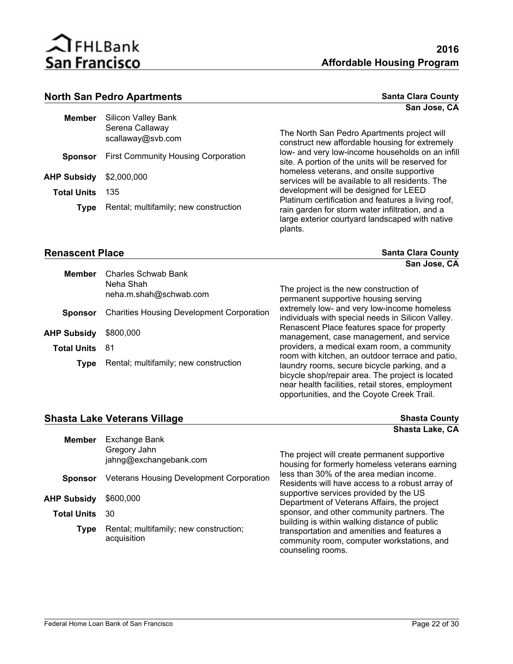

#### **North San Pedro Apartments Santa Clara County Santa Clara County Santa Clara County**

| Member             | <b>Silicon Valley Bank</b><br>Serena Callaway<br>scallaway@svb.com |
|--------------------|--------------------------------------------------------------------|
| Sponsor            | <b>First Community Housing Corporation</b>                         |
| AHP Subsidv        | \$2,000,000                                                        |
| <b>Total Units</b> | 135                                                                |
| <b>Type</b>        | Rental; multifamily; new construction                              |
|                    |                                                                    |

The North San Pedro Apartments project will construct new affordable housing for extremely low- and very low-income households on an infill site. A portion of the units will be reserved for homeless veterans, and onsite supportive services will be available to all residents. The development will be designed for LEED Platinum certification and features a living roof, rain garden for storm water infiltration, and a large exterior courtyard landscaped with native plants.

opportunities, and the Coyote Creek Trail.

#### **Renascent Place Santa Clara County Santa Clara County Santa Clara County**

**San Jose, CA**

**San Jose, CA**

| <b>Member</b>         | Charles Schwab Bank<br>Neha Shah                 |                                                                                                                                                                                                           |
|-----------------------|--------------------------------------------------|-----------------------------------------------------------------------------------------------------------------------------------------------------------------------------------------------------------|
|                       | neha.m.shah@schwab.com                           | The project is the new construction of<br>permanent supportive housing serving                                                                                                                            |
| <b>Sponsor</b>        | <b>Charities Housing Development Corporation</b> | extremely low- and very low-income homeless<br>individuals with special needs in Silicon Valley.                                                                                                          |
| AHP Subsidy           | \$800,000                                        | Renascent Place features space for property<br>management, case management, and service                                                                                                                   |
| <b>Total Units 81</b> |                                                  | providers, a medical exam room, a community                                                                                                                                                               |
| Type                  | Rental; multifamily; new construction            | room with kitchen, an outdoor terrace and patio,<br>laundry rooms, secure bicycle parking, and a<br>bicycle shop/repair area. The project is located<br>near health facilities, retail stores, employment |

#### **Shasta Lake Veterans Village Shasta County**

**Shasta Lake, CA**

| <b>Member</b>      | Exchange Bank                                         |                                                                                                                |
|--------------------|-------------------------------------------------------|----------------------------------------------------------------------------------------------------------------|
|                    | Gregory Jahn<br>jahng@exchangebank.com                | The project will create permanent supportive<br>housing for formerly homeless veterans earning                 |
| <b>Sponsor</b>     | Veterans Housing Development Corporation              | less than 30% of the area median income.<br>Residents will have access to a robust array of                    |
| AHP Subsidy        | \$600,000                                             | supportive services provided by the US<br>Department of Veterans Affairs, the project                          |
| <b>Total Units</b> | 30                                                    | sponsor, and other community partners. The<br>building is within walking distance of public                    |
| Type               | Rental; multifamily; new construction;<br>acquisition | transportation and amenities and features a<br>community room, computer workstations, and<br>counseling rooms. |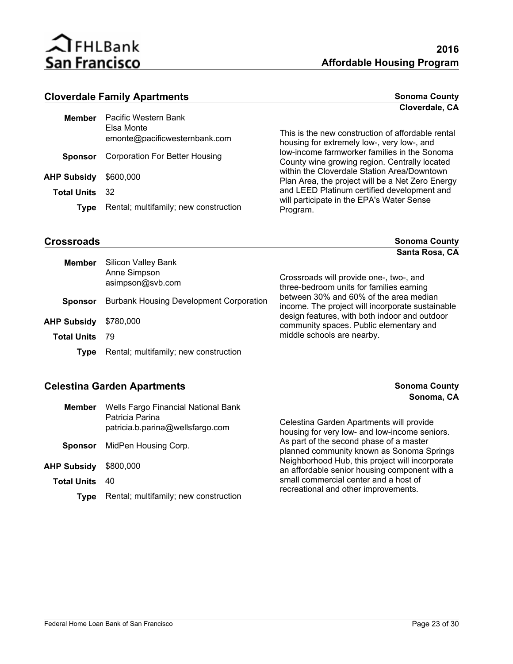

### **Cloverdale Family Apartments Sonoma County Sonoma County**

|                    |                                                                     | Cloverdale, CA                                                                                  |
|--------------------|---------------------------------------------------------------------|-------------------------------------------------------------------------------------------------|
| <b>Member</b>      | Pacific Western Bank<br>Elsa Monte<br>emonte@pacificwesternbank.com | This is the new construction of affordable rental<br>housing for extremely low-, very low-, and |
| <b>Sponsor</b>     | <b>Corporation For Better Housing</b>                               | low-income farmworker families in the Sonoma<br>County wine growing region. Centrally located   |
| AHP Subsidy        | \$600,000                                                           | within the Cloverdale Station Area/Downtown<br>Plan Area, the project will be a Net Zero Energy |
| <b>Total Units</b> | -32.                                                                | and LEED Platinum certified development and                                                     |
| Type               | Rental; multifamily; new construction                               | will participate in the EPA's Water Sense<br>Program.                                           |

|--|

**Sonoma County Santa Rosa, CA**

| <b>Member</b>      | <b>Silicon Valley Bank</b><br>Anne Simpson<br>asimpson@svb.com | Crossroads will provide one-, two-, and<br>three-bedroom units for families earning        |  |
|--------------------|----------------------------------------------------------------|--------------------------------------------------------------------------------------------|--|
| <b>Sponsor</b>     | <b>Burbank Housing Development Corporation</b>                 | between 30% and 60% of the area median<br>income. The project will incorporate sustainable |  |
| <b>AHP Subsidy</b> | \$780,000                                                      | design features, with both indoor and outdoor<br>community spaces. Public elementary and   |  |
| <b>Total Units</b> | 79                                                             | middle schools are nearby.                                                                 |  |
| Type               | Rental; multifamily; new construction                          |                                                                                            |  |

### **Celestina Garden Apartments Celestina Garden Apartments Sonoma County**

|                                                     | Sonoma, CA                                                                                       |
|-----------------------------------------------------|--------------------------------------------------------------------------------------------------|
|                                                     |                                                                                                  |
| Patricia Parina<br>patricia.b.parina@wellsfargo.com | Celestina Garden Apartments will provide<br>housing for very low- and low-income seniors.        |
| MidPen Housing Corp.<br><b>Sponsor</b>              | As part of the second phase of a master<br>planned community known as Sonoma Springs             |
| \$800,000<br>AHP Subsidy                            | Neighborhood Hub, this project will incorporate<br>an affordable senior housing component with a |
| <b>Total Units</b><br>40                            | small commercial center and a host of<br>recreational and other improvements.                    |
| Rental; multifamily; new construction               |                                                                                                  |
|                                                     | Wells Fargo Financial National Bank                                                              |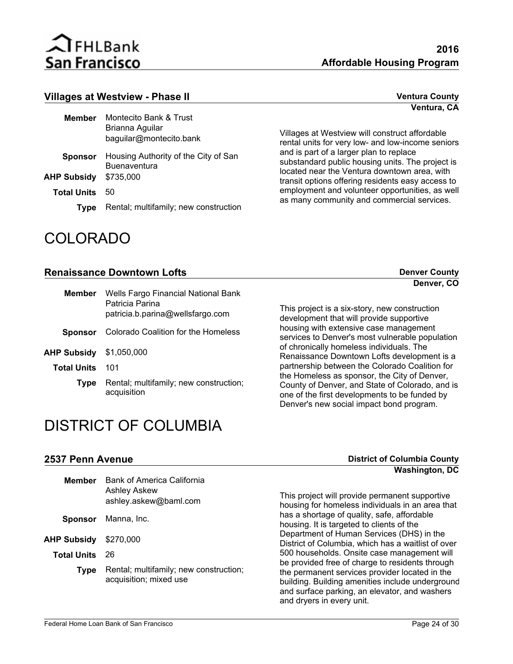

#### **Villages at Westview - Phase II Ventura County Ventura County**

| Member             | Montecito Bank & Trust<br>Brianna Aguilar<br>baguilar@montecito.bank |
|--------------------|----------------------------------------------------------------------|
| <b>Sponsor</b>     | Housing Authority of the City of San<br><b>Buenaventura</b>          |
| <b>AHP Subsidy</b> | \$735,000                                                            |
| <b>Total Units</b> | 50                                                                   |
| <b>Type</b>        | Rental; multifamily; new construction                                |

## COLORADO

**Ventura, CA**

Villages at Westview will construct affordable rental units for very low- and low-income seniors and is part of a larger plan to replace substandard public housing units. The project is located near the Ventura downtown area, with transit options offering residents easy access to employment and volunteer opportunities, as well as many community and commercial services.

#### **Renaissance Downtown Lofts Denver County Denver County**

| Member             | Wells Fargo Financial National Bank<br>Patricia Parina<br>patricia.b.parina@wellsfargo.com |
|--------------------|--------------------------------------------------------------------------------------------|
| <b>Sponsor</b>     | Colorado Coalition for the Homeless                                                        |
| AHP Subsidy        | \$1,050,000                                                                                |
| <b>Total Units</b> | 101                                                                                        |
| <b>Type</b>        | Rental; multifamily; new construction;<br>acquisition                                      |

This project is a six-story, new construction development that will provide supportive housing with extensive case management services to Denver's most vulnerable population of chronically homeless individuals. The Renaissance Downtown Lofts development is a partnership between the Colorado Coalition for the Homeless as sponsor, the City of Denver, County of Denver, and State of Colorado, and is one of the first developments to be funded by Denver's new social impact bond program.

## DISTRICT OF COLUMBIA

#### **2537 Penn Avenue District of Columbia County**

| <b>Member</b>      | Bank of America California<br><b>Ashley Askew</b><br>ashley.askew@baml.com | This project will provide permanent supportive<br>housing for homeless individuals in an area that                                                                                                                                  |
|--------------------|----------------------------------------------------------------------------|-------------------------------------------------------------------------------------------------------------------------------------------------------------------------------------------------------------------------------------|
| <b>Sponsor</b>     | Manna, Inc.                                                                | has a shortage of quality, safe, affordable<br>housing. It is targeted to clients of the                                                                                                                                            |
| <b>AHP Subsidy</b> | \$270,000                                                                  | Department of Human Services (DHS) in the<br>District of Columbia, which has a waitlist of over                                                                                                                                     |
| <b>Total Units</b> | 26                                                                         | 500 households. Onsite case management will                                                                                                                                                                                         |
| Type               | Rental; multifamily; new construction;<br>acquisition; mixed use           | be provided free of charge to residents through<br>the permanent services provider located in the<br>building. Building amenities include underground<br>and surface parking, an elevator, and washers<br>and dryers in every unit. |

**Washington, DC**

#### **Denver, CO**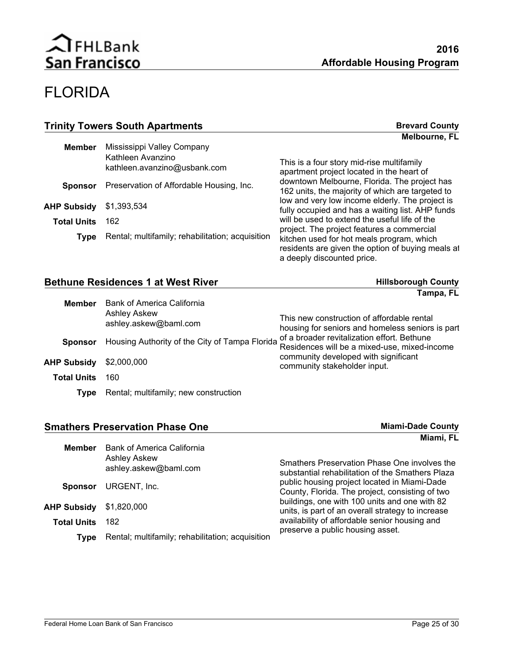## FLORIDA

| <b>Trinity Towers South Apartments</b> |                                                                                 | <b>Brevard County</b>                                                                                                        |
|----------------------------------------|---------------------------------------------------------------------------------|------------------------------------------------------------------------------------------------------------------------------|
|                                        |                                                                                 | Melbourne, FL                                                                                                                |
| <b>Member</b>                          | Mississippi Valley Company<br>Kathleen Avanzino<br>kathleen.avanzino@usbank.com | This is a four story mid-rise multifamily<br>apartment project located in the heart of                                       |
| <b>Sponsor</b>                         | Preservation of Affordable Housing, Inc.                                        | downtown Melbourne, Florida. The project has<br>162 units, the majority of which are targeted to                             |
| <b>AHP Subsidy</b>                     | \$1,393,534                                                                     | low and very low income elderly. The project is<br>fully occupied and has a waiting list. AHP funds                          |
| <b>Total Units</b>                     | 162                                                                             | will be used to extend the useful life of the<br>project. The project features a commercial                                  |
| <b>Type</b>                            | Rental; multifamily; rehabilitation; acquisition                                | kitchen used for hot meals program, which<br>residents are given the option of buying meals at<br>a deeply discounted price. |

| <b>Bethune Residences 1 at West River</b> |                                                                            | <b>Hillsborough County</b>                                                                     |
|-------------------------------------------|----------------------------------------------------------------------------|------------------------------------------------------------------------------------------------|
|                                           |                                                                            | Tampa, FL                                                                                      |
| <b>Member</b>                             | Bank of America California<br><b>Ashley Askew</b><br>ashley.askew@baml.com | This new construction of affordable rental<br>housing for seniors and homeless seniors is part |
| <b>Sponsor</b>                            | Housing Authority of the City of Tampa Florida                             | of a broader revitalization effort. Bethune<br>Residences will be a mixed-use, mixed-income    |
| <b>AHP Subsidy</b>                        | \$2,000,000                                                                | community developed with significant<br>community stakeholder input.                           |
| <b>Total Units</b>                        | 160                                                                        |                                                                                                |
| Tvpe                                      | Rental; multifamily; new construction                                      |                                                                                                |

| <b>Smathers Preservation Phase One</b> |                                                                     | <b>Miami-Dade County</b>                                                                           |
|----------------------------------------|---------------------------------------------------------------------|----------------------------------------------------------------------------------------------------|
|                                        |                                                                     | Miami, FL                                                                                          |
| <b>Member</b>                          | Bank of America California<br>Ashley Askew<br>ashley.askew@baml.com | Smathers Preservation Phase One involves the<br>substantial rehabilitation of the Smathers Plaza   |
| <b>Sponsor</b>                         | URGENT, Inc.                                                        | public housing project located in Miami-Dade<br>County, Florida. The project, consisting of two    |
| <b>AHP Subsidy</b>                     | \$1,820,000                                                         | buildings, one with 100 units and one with 82<br>units, is part of an overall strategy to increase |
| <b>Total Units</b>                     | 182                                                                 | availability of affordable senior housing and                                                      |
| Tvpe                                   | Rental; multifamily; rehabilitation; acquisition                    | preserve a public housing asset.                                                                   |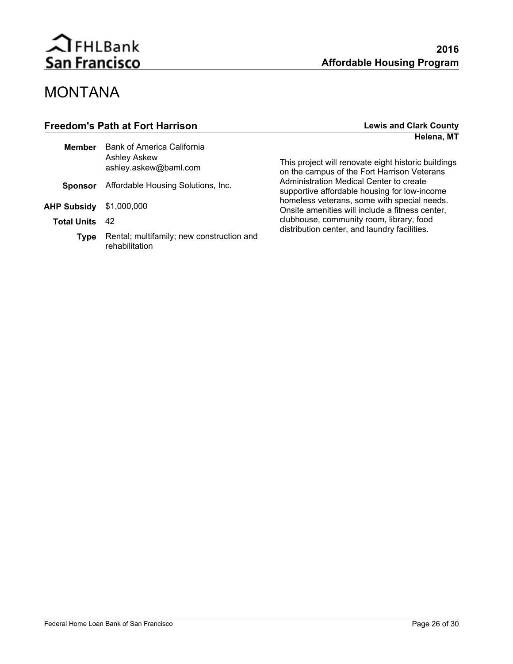

## MONTANA

### **Freedom's Path at Fort Harrison Lewis and Clark County Helena, MT**

| Bank of America California<br>Ashley Askew<br>ashley.askew@baml.com |
|---------------------------------------------------------------------|
| <b>Sponsor</b> Affordable Housing Solutions, Inc.                   |
| <b>AHP Subsidy</b> \$1,000,000                                      |
| - 42                                                                |
| Rental; multifamily; new construction and<br>rehabilitation         |
|                                                                     |

This project will renovate eight historic buildings on the campus of the Fort Harrison Veterans Administration Medical Center to create supportive affordable housing for low-income homeless veterans, some with special needs. Onsite amenities will include a fitness center, clubhouse, community room, library, food distribution center, and laundry facilities.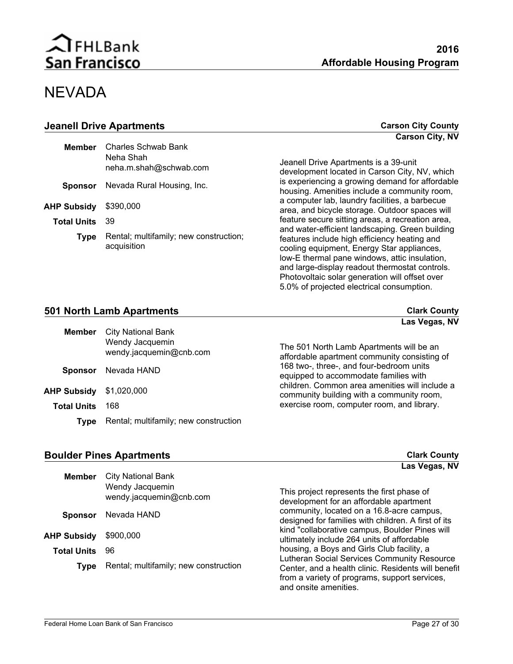## **NEVADA**

| <b>Jeanell Drive Apartments</b> |                                                            | <b>Carson City County</b>                                                                                                                                                                                                                                                                                                                       |
|---------------------------------|------------------------------------------------------------|-------------------------------------------------------------------------------------------------------------------------------------------------------------------------------------------------------------------------------------------------------------------------------------------------------------------------------------------------|
|                                 |                                                            | <b>Carson City, NV</b>                                                                                                                                                                                                                                                                                                                          |
| <b>Member</b>                   | Charles Schwab Bank<br>Neha Shah<br>neha.m.shah@schwab.com | Jeanell Drive Apartments is a 39-unit<br>development located in Carson City, NV, which                                                                                                                                                                                                                                                          |
| <b>Sponsor</b>                  | Nevada Rural Housing, Inc.                                 | is experiencing a growing demand for affordable<br>housing. Amenities include a community room,                                                                                                                                                                                                                                                 |
| <b>AHP Subsidy</b>              | \$390,000                                                  | a computer lab, laundry facilities, a barbecue<br>area, and bicycle storage. Outdoor spaces will                                                                                                                                                                                                                                                |
| <b>Total Units</b>              | 39                                                         | feature secure sitting areas, a recreation area,                                                                                                                                                                                                                                                                                                |
| <b>Type</b>                     | Rental; multifamily; new construction;<br>acquisition      | and water-efficient landscaping. Green building<br>features include high efficiency heating and<br>cooling equipment, Energy Star appliances,<br>low-E thermal pane windows, attic insulation,<br>and large-display readout thermostat controls.<br>Photovoltaic solar generation will offset over<br>5.0% of projected electrical consumption. |

| 501 North Lamb Apartments |                                            | <b>Clark County</b>                                                                                                                                        |
|---------------------------|--------------------------------------------|------------------------------------------------------------------------------------------------------------------------------------------------------------|
| Member                    | City National Bank                         | Las Vegas, NV                                                                                                                                              |
|                           | Wendy Jacquemin<br>wendy.jacquemin@cnb.com | The 501 North Lamb Apartments will be an<br>affordable apartment community consisting of                                                                   |
| <b>Sponsor</b>            | Nevada HAND                                | 168 two-, three-, and four-bedroom units<br>in a contra de la companda de la familia de la colla de la colla de la colla de la colla de la colla de la col |

|                                | <b>PRONOUT NO TO SERVE LITTLE</b>                 | equipped to accommodate families with                                                       |
|--------------------------------|---------------------------------------------------|---------------------------------------------------------------------------------------------|
| <b>AHP Subsidy</b> \$1,020,000 |                                                   | children. Common area amenities will include a<br>community building with a community room, |
| <b>Total Units</b>             | 168                                               | exercise room, computer room, and library.                                                  |
|                                | <b>Type</b> Rental; multifamily; new construction |                                                                                             |

### **Boulder Pines Apartments Clark County Clark County**

|                    |                                                                         | Las veyas, ivv                                                                                                                                                               |
|--------------------|-------------------------------------------------------------------------|------------------------------------------------------------------------------------------------------------------------------------------------------------------------------|
| <b>Member</b>      | <b>City National Bank</b><br>Wendy Jacquemin<br>wendy.jacquemin@cnb.com | This project represents the first phase of<br>development for an affordable apartment                                                                                        |
| <b>Sponsor</b>     | Nevada HAND                                                             | community, located on a 16.8-acre campus,<br>designed for families with children. A first of its                                                                             |
| AHP Subsidy        | \$900,000                                                               | kind "collaborative campus, Boulder Pines will<br>ultimately include 264 units of affordable                                                                                 |
| <b>Total Units</b> | 96                                                                      | housing, a Boys and Girls Club facility, a                                                                                                                                   |
| Type               | Rental; multifamily; new construction                                   | Lutheran Social Services Community Resource<br>Center, and a health clinic. Residents will benefit<br>from a variety of programs, support services,<br>and onsite amenities. |

**Las Vegas, NV**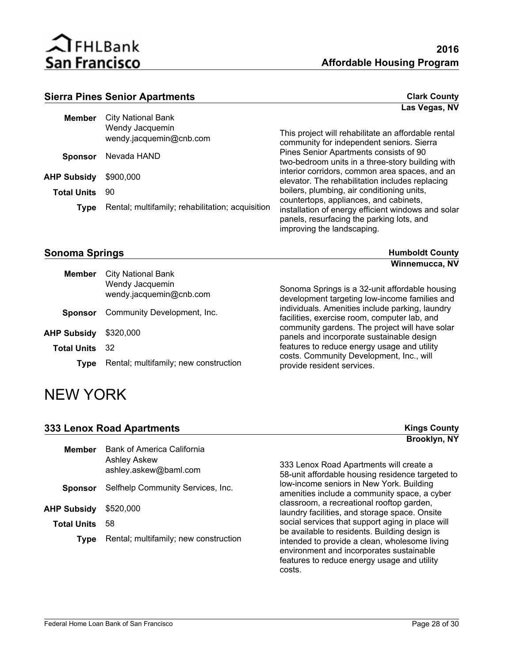

#### **Sierra Pines Senior Apartments Clark County Clark County**

|                    |                                                  | Las Vegas, NV                                                                                                                             |
|--------------------|--------------------------------------------------|-------------------------------------------------------------------------------------------------------------------------------------------|
| <b>Member</b>      | <b>City National Bank</b>                        |                                                                                                                                           |
|                    | Wendy Jacquemin<br>wendy.jacquemin@cnb.com       | This project will rehabilitate an affordable rental<br>community for independent seniors. Sierra                                          |
| <b>Sponsor</b>     | Nevada HAND                                      | Pines Senior Apartments consists of 90<br>two-bedroom units in a three-story building with                                                |
| <b>AHP Subsidy</b> | \$900,000                                        | interior corridors, common area spaces, and an<br>elevator. The rehabilitation includes replacing                                         |
| <b>Total Units</b> | 90                                               | boilers, plumbing, air conditioning units,                                                                                                |
| <b>Type</b>        | Rental; multifamily; rehabilitation; acquisition | countertops, appliances, and cabinets,<br>installation of energy efficient windows and solar<br>panels, resurfacing the parking lots, and |
|                    |                                                  | improving the landscaping.                                                                                                                |

#### **Sonoma Springs Manufacture County Humboldt County Humboldt County**

**Winnemucca, NV**

| <b>Member</b>         | <b>City National Bank</b><br>Wendy Jacquemin<br>wendy.jacquemin@cnb.com | Sonoma Springs is a 32-unit affordable housing<br>development targeting low-income families and |
|-----------------------|-------------------------------------------------------------------------|-------------------------------------------------------------------------------------------------|
| <b>Sponsor</b>        | Community Development, Inc.                                             | individuals. Amenities include parking, laundry<br>facilities, exercise room, computer lab, and |
| <b>AHP Subsidy</b>    | \$320,000                                                               | community gardens. The project will have solar<br>panels and incorporate sustainable design     |
| <b>Total Units</b> 32 |                                                                         | features to reduce energy usage and utility                                                     |
| Type                  | Rental; multifamily; new construction                                   | costs. Community Development, Inc., will<br>provide resident services.                          |

## NEW YORK

# **333 Lenox Road Apartments Kings County**

| <b>Member</b>                | <b>Bank of America California</b><br>Ashley Askew<br>ashley.askew@baml.com |
|------------------------------|----------------------------------------------------------------------------|
|                              | <b>Sponsor</b> Selfhelp Community Services, Inc.                           |
| <b>AHP Subsidy</b> \$520,000 |                                                                            |
| <b>Total Units</b>           | 58                                                                         |
| <b>Type</b>                  | Rental; multifamily; new construction                                      |
|                              |                                                                            |

333 Lenox Road Apartments will create a 58-unit affordable housing residence targeted to low-income seniors in New York. Building amenities include a community space, a cyber classroom, a recreational rooftop garden, laundry facilities, and storage space. Onsite social services that support aging in place will be available to residents. Building design is intended to provide a clean, wholesome living environment and incorporates sustainable features to reduce energy usage and utility costs.

**Brooklyn, NY**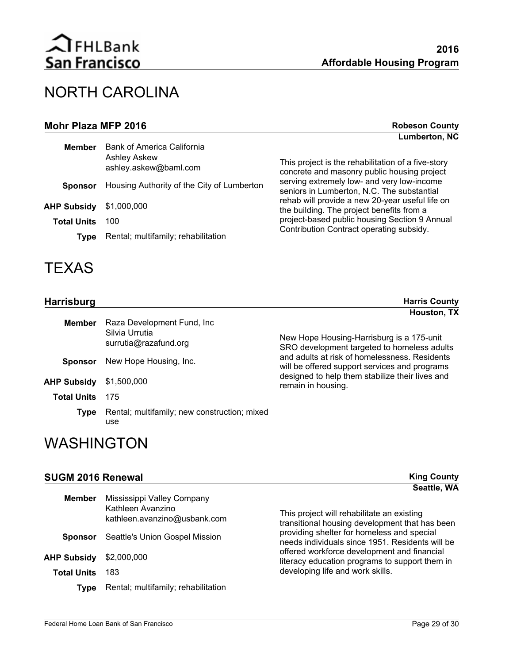| Mohr Plaza MFP 2016 |                                                                            | <b>Robeson County</b>                                                                             |
|---------------------|----------------------------------------------------------------------------|---------------------------------------------------------------------------------------------------|
|                     |                                                                            | <b>Lumberton, NC</b>                                                                              |
| <b>Member</b>       | Bank of America California<br><b>Ashley Askew</b><br>ashley.askew@baml.com | This project is the rehabilitation of a five-story<br>concrete and masonry public housing project |
| <b>Sponsor</b>      | Housing Authority of the City of Lumberton                                 | serving extremely low- and very low-income<br>seniors in Lumberton, N.C. The substantial          |
| <b>AHP Subsidy</b>  | \$1,000,000                                                                | rehab will provide a new 20-year useful life on<br>the building. The project benefits from a      |
| <b>Total Units</b>  | 100                                                                        | project-based public housing Section 9 Annual                                                     |
| Type                | Rental; multifamily; rehabilitation                                        | Contribution Contract operating subsidy.                                                          |

## **TEXAS**

| <b>Harrisburg</b>                                                                       |                                                     | <b>Harris County</b>                                                                                    |
|-----------------------------------------------------------------------------------------|-----------------------------------------------------|---------------------------------------------------------------------------------------------------------|
| Raza Development Fund, Inc.<br><b>Member</b><br>Silvia Urrutia<br>surrutia@razafund.org |                                                     | Houston, TX<br>New Hope Housing-Harrisburg is a 175-unit<br>SRO development targeted to homeless adults |
| <b>Sponsor</b>                                                                          | New Hope Housing, Inc.                              | and adults at risk of homelessness. Residents<br>will be offered support services and programs          |
| <b>AHP Subsidy</b>                                                                      | \$1,500,000                                         | designed to help them stabilize their lives and<br>remain in housing.                                   |
| <b>Total Units</b>                                                                      | 175                                                 |                                                                                                         |
| <b>Type</b>                                                                             | Rental; multifamily; new construction; mixed<br>use |                                                                                                         |

## WASHINGTON

### **SUGM 2016 Renewal King County**

|                    |                                                                                 | Seattle, WA                                                                                   |
|--------------------|---------------------------------------------------------------------------------|-----------------------------------------------------------------------------------------------|
| <b>Member</b>      | Mississippi Valley Company<br>Kathleen Avanzino<br>kathleen.avanzino@usbank.com | This project will rehabilitate an existing<br>transitional housing development that has been  |
| <b>Sponsor</b>     | Seattle's Union Gospel Mission                                                  | providing shelter for homeless and special<br>needs individuals since 1951. Residents will be |
| <b>AHP Subsidy</b> | \$2,000,000                                                                     | offered workforce development and financial<br>literacy education programs to support them in |
| <b>Total Units</b> | 183                                                                             | developing life and work skills.                                                              |
| Type               | Rental; multifamily; rehabilitation                                             |                                                                                               |
|                    |                                                                                 |                                                                                               |